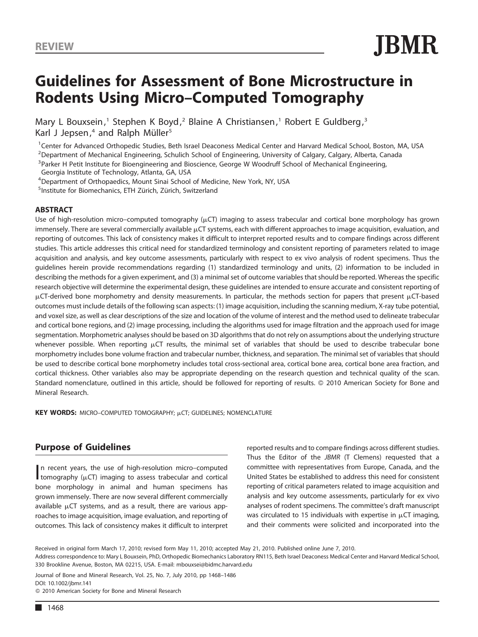# Guidelines for Assessment of Bone Microstructure in Rodents Using Micro–Computed Tomography

Mary L Bouxsein,<sup>1</sup> Stephen K Boyd,<sup>2</sup> Blaine A Christiansen,<sup>1</sup> Robert E Guldberg,<sup>3</sup> Karl J Jepsen, $4$  and Ralph Müller<sup>5</sup>

<sup>1</sup>Center for Advanced Orthopedic Studies, Beth Israel Deaconess Medical Center and Harvard Medical School, Boston, MA, USA

<sup>2</sup>Department of Mechanical Engineering, Schulich School of Engineering, University of Calgary, Calgary, Alberta, Canada

Georgia Institute of Technology, Atlanta, GA, USA

<sup>4</sup>Department of Orthopaedics, Mount Sinai School of Medicine, New York, NY, USA

<sup>5</sup> Institute for Biomechanics, ETH Zürich, Zürich, Switzerland

## ABSTRACT

Use of high-resolution micro–computed tomography ( $\mu$ CT) imaging to assess trabecular and cortical bone morphology has grown immensely. There are several commercially available µCT systems, each with different approaches to image acquisition, evaluation, and reporting of outcomes. This lack of consistency makes it difficult to interpret reported results and to compare findings across different studies. This article addresses this critical need for standardized terminology and consistent reporting of parameters related to image acquisition and analysis, and key outcome assessments, particularly with respect to ex vivo analysis of rodent specimens. Thus the guidelines herein provide recommendations regarding (1) standardized terminology and units, (2) information to be included in describing the methods for a given experiment, and (3) a minimal set of outcome variables that should be reported. Whereas the specific research objective will determine the experimental design, these guidelines are intended to ensure accurate and consistent reporting of  $\mu$ CT-derived bone morphometry and density measurements. In particular, the methods section for papers that present  $\mu$ CT-based outcomes must include details of the following scan aspects: (1) image acquisition, including the scanning medium, X-ray tube potential, and voxel size, as well as clear descriptions of the size and location of the volume of interest and the method used to delineate trabecular and cortical bone regions, and (2) image processing, including the algorithms used for image filtration and the approach used for image segmentation. Morphometric analyses should be based on 3D algorithms that do not rely on assumptions about the underlying structure whenever possible. When reporting µCT results, the minimal set of variables that should be used to describe trabecular bone morphometry includes bone volume fraction and trabecular number, thickness, and separation. The minimal set of variables that should be used to describe cortical bone morphometry includes total cross-sectional area, cortical bone area, cortical bone area fraction, and cortical thickness. Other variables also may be appropriate depending on the research question and technical quality of the scan. Standard nomenclature, outlined in this article, should be followed for reporting of results. © 2010 American Society for Bone and Mineral Research.

KEY WORDS: MICRO-COMPUTED TOMOGRAPHY; µCT; GUIDELINES; NOMENCLATURE

# Purpose of Guidelines

In recent years, the use of high-resolution micro-computed<br>tomography  $(\mu$ CT) imaging to assess trabecular and cortical n recent years, the use of high-resolution micro–computed bone morphology in animal and human specimens has grown immensely. There are now several different commercially available  $\mu$ CT systems, and as a result, there are various approaches to image acquisition, image evaluation, and reporting of outcomes. This lack of consistency makes it difficult to interpret

reported results and to compare findings across different studies. Thus the Editor of the JBMR (T Clemens) requested that a committee with representatives from Europe, Canada, and the United States be established to address this need for consistent reporting of critical parameters related to image acquisition and analysis and key outcome assessments, particularly for ex vivo analyses of rodent specimens. The committee's draft manuscript was circulated to 15 individuals with expertise in  $\mu$ CT imaging, and their comments were solicited and incorporated into the

Received in original form March 17, 2010; revised form May 11, 2010; accepted May 21, 2010. Published online June 7, 2010. Address correspondence to: Mary L Bouxsein, PhD, Orthopedic Biomechanics Laboratory RN115, Beth Israel Deaconess Medical Center and Harvard Medical School, 330 Brookline Avenue, Boston, MA 02215, USA. E-mail: mbouxsei@bidmc.harvard.edu

Journal of Bone and Mineral Research, Vol. 25, No. 7, July 2010, pp 1468–1486 DOI: 10.1002/jbmr.141 2010 American Society for Bone and Mineral Research

<sup>&</sup>lt;sup>3</sup>Parker H Petit Institute for Bioengineering and Bioscience, George W Woodruff School of Mechanical Engineering,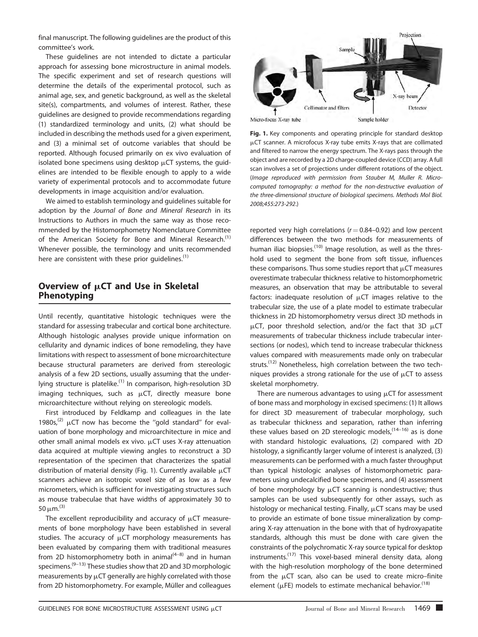final manuscript. The following guidelines are the product of this committee's work.

These guidelines are not intended to dictate a particular approach for assessing bone microstructure in animal models. The specific experiment and set of research questions will determine the details of the experimental protocol, such as animal age, sex, and genetic background, as well as the skeletal site(s), compartments, and volumes of interest. Rather, these guidelines are designed to provide recommendations regarding (1) standardized terminology and units, (2) what should be included in describing the methods used for a given experiment, and (3) a minimal set of outcome variables that should be reported. Although focused primarily on ex vivo evaluation of isolated bone specimens using desktop  $\mu$ CT systems, the guidelines are intended to be flexible enough to apply to a wide variety of experimental protocols and to accommodate future developments in image acquisition and/or evaluation.

We aimed to establish terminology and guidelines suitable for adoption by the Journal of Bone and Mineral Research in its Instructions to Authors in much the same way as those recommended by the Histomorphometry Nomenclature Committee of the American Society for Bone and Mineral Research.<sup>(1)</sup> Whenever possible, the terminology and units recommended here are consistent with these prior quidelines. $<sup>(1)</sup>$ </sup>

# Overview of  $\mu$ CT and Use in Skeletal Phenotyping

Until recently, quantitative histologic techniques were the standard for assessing trabecular and cortical bone architecture. Although histologic analyses provide unique information on cellularity and dynamic indices of bone remodeling, they have limitations with respect to assessment of bone microarchitecture because structural parameters are derived from stereologic analysis of a few 2D sections, usually assuming that the underlying structure is platelike.<sup>(1)</sup> In comparison, high-resolution 3D imaging techniques, such as  $\mu$ CT, directly measure bone microarchitecture without relying on stereologic models.

First introduced by Feldkamp and colleagues in the late 1980s,<sup>(2)</sup>  $\mu$ CT now has become the "gold standard" for evaluation of bone morphology and microarchitecture in mice and other small animal models ex vivo.  $\mu$ CT uses X-ray attenuation data acquired at multiple viewing angles to reconstruct a 3D representation of the specimen that characterizes the spatial distribution of material density (Fig. 1). Currently available  $\mu$ CT scanners achieve an isotropic voxel size of as low as a few micrometers, which is sufficient for investigating structures such as mouse trabeculae that have widths of approximately 30 to 50  $\mu$ m.<sup>(3)</sup>

The excellent reproducibility and accuracy of  $\mu$ CT measurements of bone morphology have been established in several studies. The accuracy of  $\mu$ CT morphology measurements has been evaluated by comparing them with traditional measures from 2D histomorphometry both in animal $(4-8)$  and in human specimens.(9–13) These studies show that 2D and 3D morphologic measurements by  $\mu$ CT generally are highly correlated with those from 2D histomorphometry. For example, Müller and colleagues



Fig. 1. Key components and operating principle for standard desktop  $\mu$ CT scanner. A microfocus X-ray tube emits X-rays that are collimated and filtered to narrow the energy spectrum. The X-rays pass through the object and are recorded by a 2D charge-coupled device (CCD) array. A full scan involves a set of projections under different rotations of the object. (Image reproduced with permission from Stauber M, Muller R. Microcomputed tomography: a method for the non-destructive evaluation of the three-dimensional structure of biological specimens. Methods Mol Biol. 2008;455:273-292.)

reported very high correlations ( $r = 0.84 - 0.92$ ) and low percent differences between the two methods for measurements of human iliac biopsies.<sup>(10)</sup> Image resolution, as well as the threshold used to segment the bone from soft tissue, influences these comparisons. Thus some studies report that  $\mu$ CT measures overestimate trabecular thickness relative to histomorphometric measures, an observation that may be attributable to several factors: inadequate resolution of  $\mu$ CT images relative to the trabecular size, the use of a plate model to estimate trabecular thickness in 2D histomorphometry versus direct 3D methods in  $\mu$ CT, poor threshold selection, and/or the fact that 3D  $\mu$ CT measurements of trabecular thickness include trabecular intersections (or nodes), which tend to increase trabecular thickness values compared with measurements made only on trabecular struts.<sup>(12)</sup> Nonetheless, high correlation between the two techniques provides a strong rationale for the use of  $\mu$ CT to assess skeletal morphometry.

There are numerous advantages to using  $\mu$ CT for assessment of bone mass and morphology in excised specimens: (1) It allows for direct 3D measurement of trabecular morphology, such as trabecular thickness and separation, rather than inferring these values based on 2D stereologic models,  $(14-16)$  as is done with standard histologic evaluations, (2) compared with 2D histology, a significantly larger volume of interest is analyzed, (3) measurements can be performed with a much faster throughput than typical histologic analyses of histomorphometric parameters using undecalcified bone specimens, and (4) assessment of bone morphology by  $\mu$ CT scanning is nondestructive; thus samples can be used subsequently for other assays, such as histology or mechanical testing. Finally,  $\mu$ CT scans may be used to provide an estimate of bone tissue mineralization by comparing X-ray attenuation in the bone with that of hydroxyapatite standards, although this must be done with care given the constraints of the polychromatic X-ray source typical for desktop instruments.<sup>(17)</sup> This voxel-based mineral density data, along with the high-resolution morphology of the bone determined from the  $\mu$ CT scan, also can be used to create micro–finite element ( $\mu$ FE) models to estimate mechanical behavior.<sup>(18)</sup>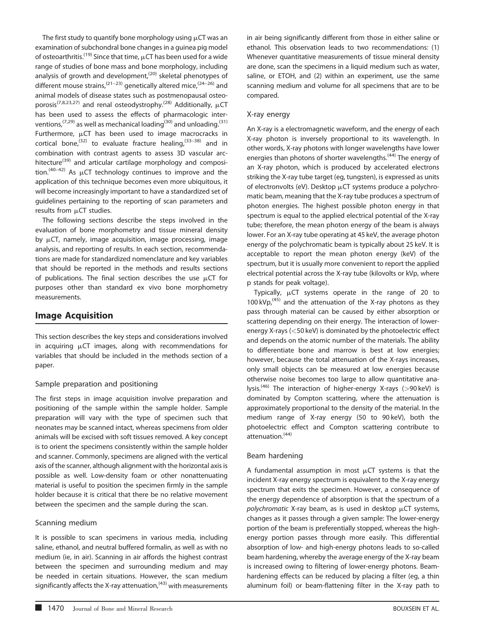The first study to quantify bone morphology using  $\mu$ CT was an examination of subchondral bone changes in a guinea pig model of osteoarthritis.<sup>(19)</sup> Since that time,  $\mu$ CT has been used for a wide range of studies of bone mass and bone morphology, including analysis of growth and development,<sup>(20)</sup> skeletal phenotypes of different mouse strains,<sup>(21–23)</sup> genetically altered mice,<sup>(24–26)</sup> and animal models of disease states such as postmenopausal osteoporosis<sup>(7,8,23,27)</sup> and renal osteodystrophy.<sup>(28)</sup> Additionally,  $\mu$ CT has been used to assess the effects of pharmacologic interventions,  $(7,29)$  as well as mechanical loading<sup>(30)</sup> and unloading.  $(31)$ Furthermore,  $\mu$ CT has been used to image macrocracks in cortical bone,<sup>(32)</sup> to evaluate fracture healing,<sup>(33-38)</sup> and in combination with contrast agents to assess 3D vascular architecture<sup>(39)</sup> and articular cartilage morphology and composition.<sup>(40-42)</sup> As  $\mu$ CT technology continues to improve and the application of this technique becomes even more ubiquitous, it will become increasingly important to have a standardized set of guidelines pertaining to the reporting of scan parameters and results from  $\mu$ CT studies.

The following sections describe the steps involved in the evaluation of bone morphometry and tissue mineral density by  $\mu$ CT, namely, image acquisition, image processing, image analysis, and reporting of results. In each section, recommendations are made for standardized nomenclature and key variables that should be reported in the methods and results sections of publications. The final section describes the use  $\mu$ CT for purposes other than standard ex vivo bone morphometry measurements.

# Image Acquisition

This section describes the key steps and considerations involved in acquiring  $\mu$ CT images, along with recommendations for variables that should be included in the methods section of a paper.

## Sample preparation and positioning

The first steps in image acquisition involve preparation and positioning of the sample within the sample holder. Sample preparation will vary with the type of specimen such that neonates may be scanned intact, whereas specimens from older animals will be excised with soft tissues removed. A key concept is to orient the specimens consistently within the sample holder and scanner. Commonly, specimens are aligned with the vertical axis of the scanner, although alignment with the horizontal axis is possible as well. Low-density foam or other nonattenuating material is useful to position the specimen firmly in the sample holder because it is critical that there be no relative movement between the specimen and the sample during the scan.

## Scanning medium

It is possible to scan specimens in various media, including saline, ethanol, and neutral buffered formalin, as well as with no medium (ie, in air). Scanning in air affords the highest contrast between the specimen and surrounding medium and may be needed in certain situations. However, the scan medium significantly affects the X-ray attenuation, $(43)$  with measurements

1470 Journal of Bone and Mineral Research BOUXSEIN ET AL.

in air being significantly different from those in either saline or ethanol. This observation leads to two recommendations: (1) Whenever quantitative measurements of tissue mineral density are done, scan the specimens in a liquid medium such as water, saline, or ETOH, and (2) within an experiment, use the same scanning medium and volume for all specimens that are to be compared.

## X-ray energy

An X-ray is a electromagnetic waveform, and the energy of each X-ray photon is inversely proportional to its wavelength. In other words, X-ray photons with longer wavelengths have lower energies than photons of shorter wavelengths.<sup>(44)</sup> The energy of an X-ray photon, which is produced by accelerated electrons striking the X-ray tube target (eg, tungsten), is expressed as units of electronvolts (eV). Desktop  $\mu$ CT systems produce a polychromatic beam, meaning that the X-ray tube produces a spectrum of photon energies. The highest possible photon energy in that spectrum is equal to the applied electrical potential of the X-ray tube; therefore, the mean photon energy of the beam is always lower. For an X-ray tube operating at 45 keV, the average photon energy of the polychromatic beam is typically about 25 keV. It is acceptable to report the mean photon energy (keV) of the spectrum, but it is usually more convenient to report the applied electrical potential across the X-ray tube (kilovolts or kVp, where p stands for peak voltage).

Typically,  $\mu$ CT systems operate in the range of 20 to 100 kVp, $^{(45)}$  and the attenuation of the X-ray photons as they pass through material can be caused by either absorption or scattering depending on their energy. The interaction of lowerenergy X-rays (<50 keV) is dominated by the photoelectric effect and depends on the atomic number of the materials. The ability to differentiate bone and marrow is best at low energies; however, because the total attenuation of the X-rays increases, only small objects can be measured at low energies because otherwise noise becomes too large to allow quantitative analysis.<sup>(46)</sup> The interaction of higher-energy X-rays ( $>90$  keV) is dominated by Compton scattering, where the attenuation is approximately proportional to the density of the material. In the medium range of X-ray energy (50 to 90 keV), both the photoelectric effect and Compton scattering contribute to attenuation.<sup>(44)</sup>

## Beam hardening

A fundamental assumption in most  $\mu$ CT systems is that the incident X-ray energy spectrum is equivalent to the X-ray energy spectrum that exits the specimen. However, a consequence of the energy dependence of absorption is that the spectrum of a polychromatic X-ray beam, as is used in desktop  $\mu$ CT systems, changes as it passes through a given sample: The lower-energy portion of the beam is preferentially stopped, whereas the highenergy portion passes through more easily. This differential absorption of low- and high-energy photons leads to so-called beam hardening, whereby the average energy of the X-ray beam is increased owing to filtering of lower-energy photons. Beamhardening effects can be reduced by placing a filter (eg, a thin aluminum foil) or beam-flattening filter in the X-ray path to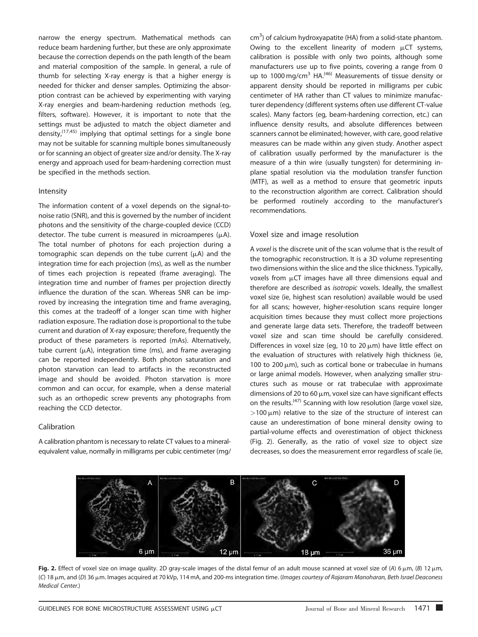narrow the energy spectrum. Mathematical methods can reduce beam hardening further, but these are only approximate because the correction depends on the path length of the beam and material composition of the sample. In general, a rule of thumb for selecting X-ray energy is that a higher energy is needed for thicker and denser samples. Optimizing the absorption contrast can be achieved by experimenting with varying X-ray energies and beam-hardening reduction methods (eg, filters, software). However, it is important to note that the settings must be adjusted to match the object diameter and density,<sup>(17,45)</sup> implying that optimal settings for a single bone may not be suitable for scanning multiple bones simultaneously or for scanning an object of greater size and/or density. The X-ray energy and approach used for beam-hardening correction must be specified in the methods section.

#### Intensity

The information content of a voxel depends on the signal-tonoise ratio (SNR), and this is governed by the number of incident photons and the sensitivity of the charge-coupled device (CCD) detector. The tube current is measured in microamperes ( $\mu$ A). The total number of photons for each projection during a tomographic scan depends on the tube current  $(\mu A)$  and the integration time for each projection (ms), as well as the number of times each projection is repeated (frame averaging). The integration time and number of frames per projection directly influence the duration of the scan. Whereas SNR can be improved by increasing the integration time and frame averaging, this comes at the tradeoff of a longer scan time with higher radiation exposure. The radiation dose is proportional to the tube current and duration of X-ray exposure; therefore, frequently the product of these parameters is reported (mAs). Alternatively, tube current  $(\mu A)$ , integration time (ms), and frame averaging can be reported independently. Both photon saturation and photon starvation can lead to artifacts in the reconstructed image and should be avoided. Photon starvation is more common and can occur, for example, when a dense material such as an orthopedic screw prevents any photographs from reaching the CCD detector.

#### Calibration

A calibration phantom is necessary to relate CT values to a mineralequivalent value, normally in milligrams per cubic centimeter (mg/

cm<sup>3</sup>) of calcium hydroxyapatite (HA) from a solid-state phantom. Owing to the excellent linearity of modern  $\mu$ CT systems, calibration is possible with only two points, although some manufacturers use up to five points, covering a range from 0 up to 1000 mg/cm<sup>3</sup> HA.<sup>(46)</sup> Measurements of tissue density or apparent density should be reported in milligrams per cubic centimeter of HA rather than CT values to minimize manufacturer dependency (different systems often use different CT-value scales). Many factors (eg, beam-hardening correction, etc.) can influence density results, and absolute differences between scanners cannot be eliminated; however, with care, good relative measures can be made within any given study. Another aspect of calibration usually performed by the manufacturer is the measure of a thin wire (usually tungsten) for determining inplane spatial resolution via the modulation transfer function (MTF), as well as a method to ensure that geometric inputs to the reconstruction algorithm are correct. Calibration should be performed routinely according to the manufacturer's recommendations.

#### Voxel size and image resolution

A voxel is the discrete unit of the scan volume that is the result of the tomographic reconstruction. It is a 3D volume representing two dimensions within the slice and the slice thickness. Typically, voxels from  $\mu$ CT images have all three dimensions equal and therefore are described as isotropic voxels. Ideally, the smallest voxel size (ie, highest scan resolution) available would be used for all scans; however, higher-resolution scans require longer acquisition times because they must collect more projections and generate large data sets. Therefore, the tradeoff between voxel size and scan time should be carefully considered. Differences in voxel size (eg, 10 to 20  $\mu$ m) have little effect on the evaluation of structures with relatively high thickness (ie, 100 to 200  $\mu$ m), such as cortical bone or trabeculae in humans or large animal models. However, when analyzing smaller structures such as mouse or rat trabeculae with approximate dimensions of 20 to 60  $\mu$ m, voxel size can have significant effects on the results.<sup>(47)</sup> Scanning with low resolution (large voxel size,  $>$ 100  $\mu$ m) relative to the size of the structure of interest can cause an underestimation of bone mineral density owing to partial-volume effects and overestimation of object thickness (Fig. 2). Generally, as the ratio of voxel size to object size decreases, so does the measurement error regardless of scale (ie,



Fig. 2. Effect of voxel size on image quality. 2D gray-scale images of the distal femur of an adult mouse scanned at voxel size of (A) 6  $\mu$ m, (B) 12  $\mu$ m, (C) 18  $\mu$ m, and (D) 36  $\mu$ m. Images acquired at 70 kVp, 114 mA, and 200-ms integration time. (Images courtesy of Rajaram Manoharan, Beth Israel Deaconess Medical Center.)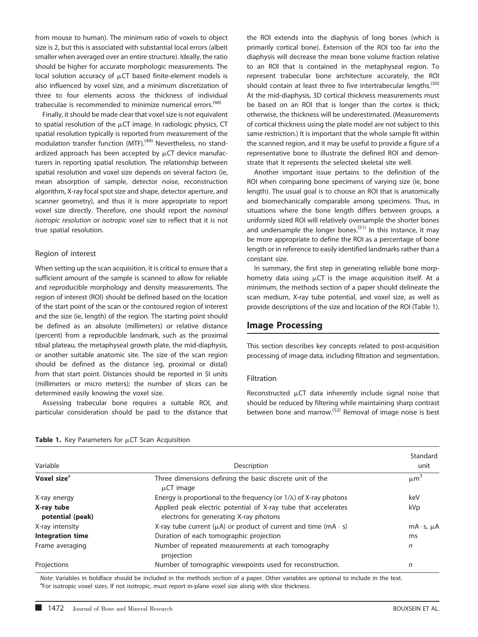from mouse to human). The minimum ratio of voxels to object size is 2, but this is associated with substantial local errors (albeit smaller when averaged over an entire structure). Ideally, the ratio should be higher for accurate morphologic measurements. The local solution accuracy of  $\mu$ CT based finite-element models is also influenced by voxel size, and a minimum discretization of three to four elements across the thickness of individual trabeculae is recommended to minimize numerical errors.<sup>(48)</sup>

Finally, it should be made clear that voxel size is not equivalent to spatial resolution of the  $\mu$ CT image. In radiologic physics, CT spatial resolution typically is reported from measurement of the modulation transfer function (MTF).<sup>(49)</sup> Nevertheless, no standardized approach has been accepted by  $\mu$ CT device manufacturers in reporting spatial resolution. The relationship between spatial resolution and voxel size depends on several factors (ie, mean absorption of sample, detector noise, reconstruction algorithm, X-ray focal spot size and shape, detector aperture, and scanner geometry), and thus it is more appropriate to report voxel size directly. Therefore, one should report the nominal isotropic resolution or isotropic voxel size to reflect that it is not true spatial resolution.

#### Region of interest

When setting up the scan acquisition, it is critical to ensure that a sufficient amount of the sample is scanned to allow for reliable and reproducible morphology and density measurements. The region of interest (ROI) should be defined based on the location of the start point of the scan or the contoured region of interest and the size (ie, length) of the region. The starting point should be defined as an absolute (millimeters) or relative distance (percent) from a reproducible landmark, such as the proximal tibial plateau, the metaphyseal growth plate, the mid-diaphysis, or another suitable anatomic site. The size of the scan region should be defined as the distance (eg, proximal or distal) from that start point. Distances should be reported in SI units (millimeters or micro meters); the number of slices can be determined easily knowing the voxel size.

Assessing trabecular bone requires a suitable ROI, and particular consideration should be paid to the distance that the ROI extends into the diaphysis of long bones (which is primarily cortical bone). Extension of the ROI too far into the diaphysis will decrease the mean bone volume fraction relative to an ROI that is contained in the metaphyseal region. To represent trabecular bone architecture accurately, the ROI should contain at least three to five intertrabecular lengths. $(50)$ At the mid-diaphysis, 3D cortical thickness measurements must be based on an ROI that is longer than the cortex is thick; otherwise, the thickness will be underestimated. (Measurements of cortical thickness using the plate model are not subject to this same restriction.) It is important that the whole sample fit within the scanned region, and it may be useful to provide a figure of a representative bone to illustrate the defined ROI and demonstrate that it represents the selected skeletal site well.

Another important issue pertains to the definition of the ROI when comparing bone specimens of varying size (ie, bone length). The usual goal is to choose an ROI that is anatomically and biomechanically comparable among specimens. Thus, in situations where the bone length differs between groups, a uniformly sized ROI will relatively oversample the shorter bones and undersample the longer bones. $^{(51)}$  In this instance, it may be more appropriate to define the ROI as a percentage of bone length or in reference to easily identified landmarks rather than a constant size.

In summary, the first step in generating reliable bone morphometry data using  $\mu$ CT is the image acquisition itself. At a minimum, the methods section of a paper should delineate the scan medium, X-ray tube potential, and voxel size, as well as provide descriptions of the size and location of the ROI (Table 1).

# Image Processing

This section describes key concepts related to post-acquisition processing of image data, including filtration and segmentation.

## **Filtration**

Reconstructed  $\mu$ CT data inherently include signal noise that should be reduced by filtering while maintaining sharp contrast between bone and marrow.<sup> $(52)$ </sup> Removal of image noise is best

|  | Table 1. Key Parameters for µCT Scan Acquisition |  |  |
|--|--------------------------------------------------|--|--|
|--|--------------------------------------------------|--|--|

|                         |                                                                               | Standard               |
|-------------------------|-------------------------------------------------------------------------------|------------------------|
| Variable                | Description                                                                   | unit                   |
| Voxel size <sup>a</sup> | Three dimensions defining the basic discrete unit of the<br>$\mu$ CT image    | $\mu$ m <sup>3</sup>   |
| X-ray energy            | Energy is proportional to the frequency (or $1/\lambda$ ) of X-ray photons    | keV                    |
| X-ray tube              | Applied peak electric potential of X-ray tube that accelerates                | kVp                    |
| potential (peak)        | electrons for generating X-ray photons                                        |                        |
| X-ray intensity         | X-ray tube current ( $\mu$ A) or product of current and time ( $mA \cdot s$ ) | $mA \cdot s$ , $\mu A$ |
| <b>Integration time</b> | Duration of each tomographic projection                                       | ms                     |
| Frame averaging         | Number of repeated measurements at each tomography<br>projection              | n                      |
| Projections             | Number of tomographic viewpoints used for reconstruction.                     | n                      |

Note: Variables in boldface should be included in the methods section of a paper. Other variables are optional to include in the text. <sup>a</sup>For isotropic voxel sizes. If not isotropic, must report in-plane voxel size along with slice thickness.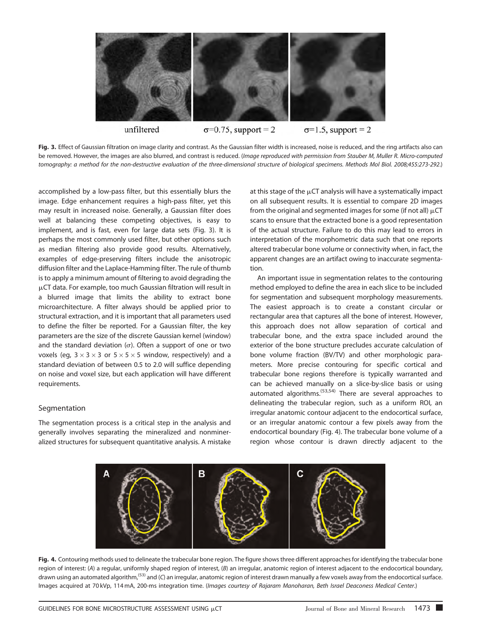

Fig. 3. Effect of Gaussian filtration on image clarity and contrast. As the Gaussian filter width is increased, noise is reduced, and the ring artifacts also can be removed. However, the images are also blurred, and contrast is reduced. (Image reproduced with permission from Stauber M, Muller R. Micro-computed tomography: a method for the non-destructive evaluation of the three-dimensional structure of biological specimens. Methods Mol Biol. 2008;455:273-292.)

accomplished by a low-pass filter, but this essentially blurs the image. Edge enhancement requires a high-pass filter, yet this may result in increased noise. Generally, a Gaussian filter does well at balancing these competing objectives, is easy to implement, and is fast, even for large data sets (Fig. 3). It is perhaps the most commonly used filter, but other options such as median filtering also provide good results. Alternatively, examples of edge-preserving filters include the anisotropic diffusion filter and the Laplace-Hamming filter. The rule of thumb is to apply a minimum amount of filtering to avoid degrading the  $\mu$ CT data. For example, too much Gaussian filtration will result in a blurred image that limits the ability to extract bone microarchitecture. A filter always should be applied prior to structural extraction, and it is important that all parameters used to define the filter be reported. For a Gaussian filter, the key parameters are the size of the discrete Gaussian kernel (window) and the standard deviation  $(\sigma)$ . Often a support of one or two voxels (eg,  $3 \times 3 \times 3$  or  $5 \times 5 \times 5$  window, respectively) and a standard deviation of between 0.5 to 2.0 will suffice depending on noise and voxel size, but each application will have different requirements.

#### Segmentation

The segmentation process is a critical step in the analysis and generally involves separating the mineralized and nonmineralized structures for subsequent quantitative analysis. A mistake at this stage of the  $\mu$ CT analysis will have a systematically impact on all subsequent results. It is essential to compare 2D images from the original and segmented images for some (if not all)  $\mu$ CT scans to ensure that the extracted bone is a good representation of the actual structure. Failure to do this may lead to errors in interpretation of the morphometric data such that one reports altered trabecular bone volume or connectivity when, in fact, the apparent changes are an artifact owing to inaccurate segmentation.

An important issue in segmentation relates to the contouring method employed to define the area in each slice to be included for segmentation and subsequent morphology measurements. The easiest approach is to create a constant circular or rectangular area that captures all the bone of interest. However, this approach does not allow separation of cortical and trabecular bone, and the extra space included around the exterior of the bone structure precludes accurate calculation of bone volume fraction (BV/TV) and other morphologic parameters. More precise contouring for specific cortical and trabecular bone regions therefore is typically warranted and can be achieved manually on a slice-by-slice basis or using automated algorithms.  $(53,54)$  There are several approaches to delineating the trabecular region, such as a uniform ROI, an irregular anatomic contour adjacent to the endocortical surface, or an irregular anatomic contour a few pixels away from the endocortical boundary (Fig. 4). The trabecular bone volume of a region whose contour is drawn directly adjacent to the



Fig. 4. Contouring methods used to delineate the trabecular bone region. The figure shows three different approaches for identifying the trabecular bone region of interest: (A) a regular, uniformly shaped region of interest, (B) an irregular, anatomic region of interest adjacent to the endocortical boundary, drawn using an automated algorithm,<sup>(53)</sup> and (C) an irregular, anatomic region of interest drawn manually a few voxels away from the endocortical surface. Images acquired at 70 kVp, 114 mA, 200-ms integration time. (Images courtesy of Rajaram Manoharan, Beth Israel Deaconess Medical Center.)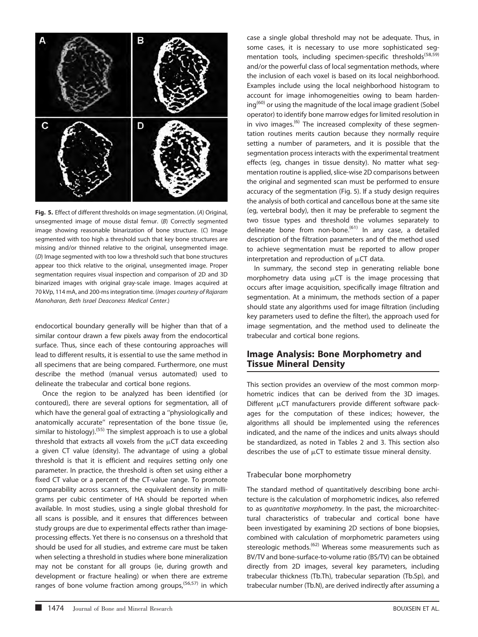

Fig. 5. Effect of different thresholds on image segmentation. (A) Original, unsegmented image of mouse distal femur. (B) Correctly segmented image showing reasonable binarization of bone structure. (C) Image segmented with too high a threshold such that key bone structures are missing and/or thinned relative to the original, unsegmented image. (D) Image segmented with too low a threshold such that bone structures appear too thick relative to the original, unsegmented image. Proper segmentation requires visual inspection and comparison of 2D and 3D binarized images with original gray-scale image. Images acquired at 70 kVp, 114 mA, and 200-ms integration time. (Images courtesy of Rajaram Manoharan, Beth Israel Deaconess Medical Center.)

endocortical boundary generally will be higher than that of a similar contour drawn a few pixels away from the endocortical surface. Thus, since each of these contouring approaches will lead to different results, it is essential to use the same method in all specimens that are being compared. Furthermore, one must describe the method (manual versus automated) used to delineate the trabecular and cortical bone regions.

Once the region to be analyzed has been identified (or contoured), there are several options for segmentation, all of which have the general goal of extracting a "physiologically and anatomically accurate'' representation of the bone tissue (ie, similar to histology).<sup> $(55)$ </sup> The simplest approach is to use a global threshold that extracts all voxels from the  $\mu$ CT data exceeding a given CT value (density). The advantage of using a global threshold is that it is efficient and requires setting only one parameter. In practice, the threshold is often set using either a fixed CT value or a percent of the CT-value range. To promote comparability across scanners, the equivalent density in milligrams per cubic centimeter of HA should be reported when available. In most studies, using a single global threshold for all scans is possible, and it ensures that differences between study groups are due to experimental effects rather than imageprocessing effects. Yet there is no consensus on a threshold that should be used for all studies, and extreme care must be taken when selecting a threshold in studies where bone mineralization may not be constant for all groups (ie, during growth and development or fracture healing) or when there are extreme ranges of bone volume fraction among groups,<sup>(56,57)</sup> in which

1474 Journal of Bone and Mineral Research BOUXSEIN ET AL.

case a single global threshold may not be adequate. Thus, in some cases, it is necessary to use more sophisticated segmentation tools, including specimen-specific thresholds<sup>(58,59)</sup> and/or the powerful class of local segmentation methods, where the inclusion of each voxel is based on its local neighborhood. Examples include using the local neighborhood histogram to account for image inhomogeneities owing to beam hardening<sup>(60)</sup> or using the magnitude of the local image gradient (Sobel operator) to identify bone marrow edges for limited resolution in in vivo images. $<sup>(6)</sup>$  The increased complexity of these segmen-</sup> tation routines merits caution because they normally require setting a number of parameters, and it is possible that the segmentation process interacts with the experimental treatment effects (eg, changes in tissue density). No matter what segmentation routine is applied, slice-wise 2D comparisons between the original and segmented scan must be performed to ensure accuracy of the segmentation (Fig. 5). If a study design requires the analysis of both cortical and cancellous bone at the same site (eg, vertebral body), then it may be preferable to segment the two tissue types and threshold the volumes separately to delineate bone from non-bone.<sup>(61)</sup> In any case, a detailed description of the filtration parameters and of the method used to achieve segmentation must be reported to allow proper interpretation and reproduction of  $\mu$ CT data.

In summary, the second step in generating reliable bone morphometry data using  $\mu$ CT is the image processing that occurs after image acquisition, specifically image filtration and segmentation. At a minimum, the methods section of a paper should state any algorithms used for image filtration (including key parameters used to define the filter), the approach used for image segmentation, and the method used to delineate the trabecular and cortical bone regions.

# Image Analysis: Bone Morphometry and Tissue Mineral Density

This section provides an overview of the most common morphometric indices that can be derived from the 3D images. Different  $\mu$ CT manufacturers provide different software packages for the computation of these indices; however, the algorithms all should be implemented using the references indicated, and the name of the indices and units always should be standardized, as noted in Tables 2 and 3. This section also describes the use of  $\mu$ CT to estimate tissue mineral density.

#### Trabecular bone morphometry

The standard method of quantitatively describing bone architecture is the calculation of morphometric indices, also referred to as quantitative morphometry. In the past, the microarchitectural characteristics of trabecular and cortical bone have been investigated by examining 2D sections of bone biopsies, combined with calculation of morphometric parameters using stereologic methods.<sup>(62)</sup> Whereas some measurements such as BV/TV and bone-surface-to-volume ratio (BS/TV) can be obtained directly from 2D images, several key parameters, including trabecular thickness (Tb.Th), trabecular separation (Tb.Sp), and trabecular number (Tb.N), are derived indirectly after assuming a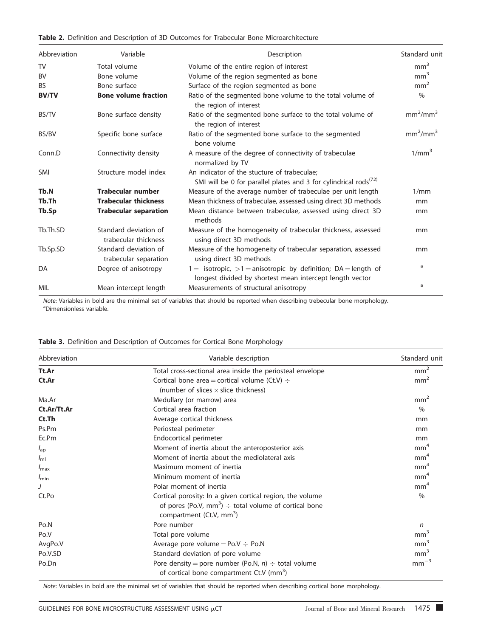| <b>Table 2.</b> Definition and Description of 3D Outcomes for Trabecular Bone Microarchitecture |
|-------------------------------------------------------------------------------------------------|
|-------------------------------------------------------------------------------------------------|

| Abbreviation | Variable                                       | Description                                                                                                                              | Standard unit                    |
|--------------|------------------------------------------------|------------------------------------------------------------------------------------------------------------------------------------------|----------------------------------|
| <b>TV</b>    | Total volume                                   | Volume of the entire region of interest                                                                                                  | mm <sup>3</sup>                  |
| <b>BV</b>    | Bone volume                                    | Volume of the region segmented as bone                                                                                                   | mm <sup>3</sup>                  |
| <b>BS</b>    | Bone surface                                   | Surface of the region segmented as bone                                                                                                  | mm <sup>2</sup>                  |
| <b>BV/TV</b> | <b>Bone volume fraction</b>                    | Ratio of the segmented bone volume to the total volume of<br>the region of interest                                                      | $\%$                             |
| BS/TV        | Bone surface density                           | Ratio of the segmented bone surface to the total volume of<br>the region of interest                                                     | mm <sup>2</sup> /mm <sup>3</sup> |
| BS/BV        | Specific bone surface                          | Ratio of the segmented bone surface to the segmented<br>bone volume                                                                      | mm <sup>2</sup> /mm <sup>3</sup> |
| Conn.D       | Connectivity density                           | A measure of the degree of connectivity of trabeculae<br>normalized by TV                                                                | 1/mm <sup>3</sup>                |
| SMI          | Structure model index                          | An indicator of the stucture of trabeculae:<br>SMI will be 0 for parallel plates and 3 for cylindrical rods <sup><math>(72)</math></sup> |                                  |
| Tb.N         | <b>Trabecular number</b>                       | Measure of the average number of trabeculae per unit length                                                                              | 1/mm                             |
| Tb.Th        | <b>Trabecular thickness</b>                    | Mean thickness of trabeculae, assessed using direct 3D methods                                                                           | mm                               |
| Tb.Sp        | <b>Trabecular separation</b>                   | Mean distance between trabeculae, assessed using direct 3D<br>methods                                                                    | mm                               |
| Tb.Th.SD     | Standard deviation of<br>trabecular thickness  | Measure of the homogeneity of trabecular thickness, assessed<br>using direct 3D methods                                                  | mm                               |
| Tb.Sp.SD     | Standard deviation of<br>trabecular separation | Measure of the homogeneity of trabecular separation, assessed<br>using direct 3D methods                                                 | mm                               |
| DA           | Degree of anisotropy                           | 1 = isotropic, $>1$ = anisotropic by definition; DA = length of<br>longest divided by shortest mean intercept length vector              | a                                |
| MIL          | Mean intercept length                          | Measurements of structural anisotropy                                                                                                    | a                                |

Note: Variables in bold are the minimal set of variables that should be reported when describing trebecular bone morphology. Dimensionless variable.

| Abbreviation     | Variable description                                                                                             | Standard unit   |
|------------------|------------------------------------------------------------------------------------------------------------------|-----------------|
| Tt.Ar            | Total cross-sectional area inside the periosteal envelope                                                        | mm <sup>2</sup> |
| Ct.Ar            | Cortical bone area = cortical volume (Ct.V) $\div$                                                               | mm <sup>2</sup> |
|                  | (number of slices $\times$ slice thickness)                                                                      |                 |
| Ma.Ar            | Medullary (or marrow) area                                                                                       | mm <sup>2</sup> |
| Ct.Ar/Tt.Ar      | Cortical area fraction                                                                                           | $\%$            |
| Ct.Th            | Average cortical thickness                                                                                       | mm              |
| Ps.Pm            | Periosteal perimeter                                                                                             | mm              |
| Ec.Pm            | Endocortical perimeter                                                                                           | mm              |
| $l_{\rm ap}$     | Moment of inertia about the anteroposterior axis                                                                 | mm <sup>4</sup> |
| $l_{\rm ml}$     | Moment of inertia about the mediolateral axis                                                                    | mm <sup>4</sup> |
| $I_{\text{max}}$ | Maximum moment of inertia                                                                                        | mm <sup>4</sup> |
| $I_{\min}$       | Minimum moment of inertia                                                                                        | mm <sup>4</sup> |
| J                | Polar moment of inertia                                                                                          | mm <sup>4</sup> |
| Ct.Po            | Cortical porosity: In a given cortical region, the volume                                                        | $\%$            |
|                  | of pores (Po.V, mm <sup>3</sup> ) $\div$ total volume of cortical bone<br>compartment (Ct.V, mm <sup>3</sup> )   |                 |
| Po.N             | Pore number                                                                                                      | n               |
| Po.V             | Total pore volume                                                                                                | mm <sup>3</sup> |
| AvgPo.V          | Average pore volume = $Po.V \div Po.N$                                                                           | mm <sup>3</sup> |
| Po.V.SD          | Standard deviation of pore volume                                                                                | mm <sup>3</sup> |
| Po.Dn            | Pore density = pore number (Po.N, n) $\div$ total volume<br>of cortical bone compartment Ct.V (mm <sup>3</sup> ) | $mm^{-}$        |

Table 3. Definition and Description of Outcomes for Cortical Bone Morphology

Note: Variables in bold are the minimal set of variables that should be reported when describing cortical bone morphology.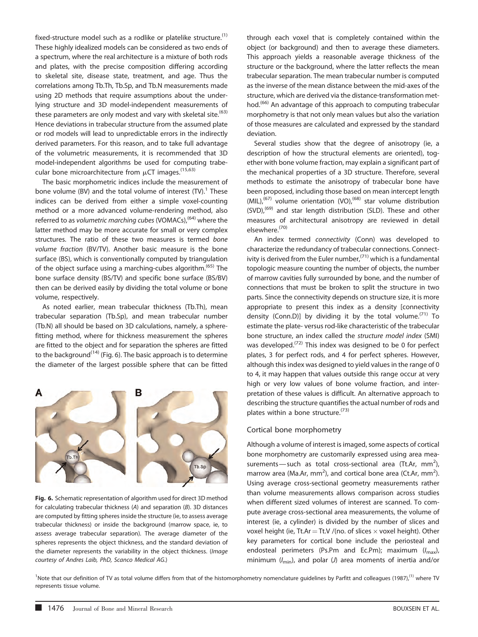fixed-structure model such as a rodlike or platelike structure.<sup>(1)</sup> These highly idealized models can be considered as two ends of a spectrum, where the real architecture is a mixture of both rods and plates, with the precise composition differing according to skeletal site, disease state, treatment, and age. Thus the correlations among Tb.Th, Tb.Sp, and Tb.N measurements made using 2D methods that require assumptions about the underlying structure and 3D model-independent measurements of these parameters are only modest and vary with skeletal site.<sup> $(63)$ </sup> Hence deviations in trabecular structure from the assumed plate or rod models will lead to unpredictable errors in the indirectly derived parameters. For this reason, and to take full advantage of the volumetric measurements, it is recommended that 3D model-independent algorithms be used for computing trabecular bone microarchitecture from  $\mu$ CT images.<sup>(15,63)</sup>

The basic morphometric indices include the measurement of bone volume (BV) and the total volume of interest  ${(IV)}^1$  These indices can be derived from either a simple voxel-counting method or a more advanced volume-rendering method, also referred to as volumetric marching cubes (VOMACs),<sup>(64)</sup> where the latter method may be more accurate for small or very complex structures. The ratio of these two measures is termed bone volume fraction (BV/TV). Another basic measure is the bone surface (BS), which is conventionally computed by triangulation of the object surface using a marching-cubes algorithm.<sup>(65)</sup> The bone surface density (BS/TV) and specific bone surface (BS/BV) then can be derived easily by dividing the total volume or bone volume, respectively.

As noted earlier, mean trabecular thickness (Tb.Th), mean trabecular separation (Tb.Sp), and mean trabecular number (Tb.N) all should be based on 3D calculations, namely, a spherefitting method, where for thickness measurement the spheres are fitted to the object and for separation the spheres are fitted to the background<sup>(14)</sup> (Fig. 6). The basic approach is to determine the diameter of the largest possible sphere that can be fitted



Fig. 6. Schematic representation of algorithm used for direct 3D method for calculating trabecular thickness  $(A)$  and separation  $(B)$ . 3D distances are computed by fitting spheres inside the structure (ie, to assess average trabecular thickness) or inside the background (marrow space, ie, to assess average trabecular separation). The average diameter of the spheres represents the object thickness, and the standard deviation of the diameter represents the variability in the object thickness. (Image courtesy of Andres Laib, PhD, Scanco Medical AG.)

through each voxel that is completely contained within the object (or background) and then to average these diameters. This approach yields a reasonable average thickness of the structure or the background, where the latter reflects the mean trabecular separation. The mean trabecular number is computed as the inverse of the mean distance between the mid-axes of the structure, which are derived via the distance-transformation method.<sup>(66)</sup> An advantage of this approach to computing trabecular morphometry is that not only mean values but also the variation of those measures are calculated and expressed by the standard deviation.

Several studies show that the degree of anisotropy (ie, a description of how the structural elements are oriented), together with bone volume fraction, may explain a significant part of the mechanical properties of a 3D structure. Therefore, several methods to estimate the anisotropy of trabecular bone have been proposed, including those based on mean intercept length  $(MIL)<sub>1</sub><sup>(67)</sup>$  volume orientation (VO),<sup>(68)</sup> star volume distribution (SVD),<sup>(69)</sup> and star length distribution (SLD). These and other measures of architectural anisotropy are reviewed in detail elsewhere.(70)

An index termed connectivity (Conn) was developed to characterize the redundancy of trabecular connections. Connectivity is derived from the Euler number,<sup> $(71)$ </sup> which is a fundamental topologic measure counting the number of objects, the number of marrow cavities fully surrounded by bone, and the number of connections that must be broken to split the structure in two parts. Since the connectivity depends on structure size, it is more appropriate to present this index as a density [connectivity density (Conn.D)] by dividing it by the total volume.<sup>(71)</sup> To estimate the plate- versus rod-like characteristic of the trabecular bone structure, an index called the structure model index (SMI) was developed.<sup>(72)</sup> This index was designed to be 0 for perfect plates, 3 for perfect rods, and 4 for perfect spheres. However, although this index was designed to yield values in the range of 0 to 4, it may happen that values outside this range occur at very high or very low values of bone volume fraction, and interpretation of these values is difficult. An alternative approach to describing the structure quantifies the actual number of rods and plates within a bone structure.<sup>(73)</sup>

#### Cortical bone morphometry

Although a volume of interest is imaged, some aspects of cortical bone morphometry are customarily expressed using area measurements — such as total cross-sectional area (Tt.Ar,  $mm<sup>2</sup>$ ), marrow area (Ma.Ar, mm<sup>2</sup>), and cortical bone area (Ct.Ar, mm<sup>2</sup>). Using average cross-sectional geometry measurements rather than volume measurements allows comparison across studies when different sized volumes of interest are scanned. To compute average cross-sectional area measurements, the volume of interest (ie, a cylinder) is divided by the number of slices and voxel height (ie, Tt.Ar = Tt.V /(no. of slices  $\times$  voxel height). Other key parameters for cortical bone include the periosteal and endosteal perimeters (Ps.Pm and Ec.Pm); maximum  $(l_{\text{max}})$ , minimum  $(l_{\text{min}})$ , and polar (J) area moments of inertia and/or

<sup>1</sup>Note that our definition of TV as total volume differs from that of the histomorphometry nomenclature guidelines by Parfitt and colleagues (1987),<sup>(1)</sup> where TV represents tissue volume.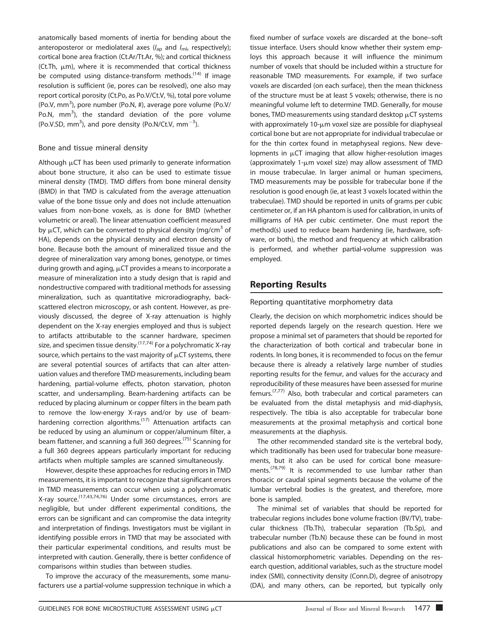anatomically based moments of inertia for bending about the anteroposteror or mediolateral axes  $(l_{ap}$  and  $l_{ml}$ , respectively); cortical bone area fraction (Ct.Ar/Tt.Ar, %); and cortical thickness (Ct.Th,  $\mu$ m), where it is recommended that cortical thickness be computed using distance-transform methods.<sup>(14)</sup> If image resolution is sufficient (ie, pores can be resolved), one also may report cortical porosity (Ct.Po, as Po.V/Ct.V, %), total pore volume (Po.V, mm<sup>3</sup>), pore number (Po.N, #), average pore volume (Po.V/ Po.N, mm<sup>3</sup>), the standard deviation of the pore volume (Po.V.SD, mm<sup>3</sup>), and pore density (Po.N/Ct.V, mm<sup>-3</sup>).

#### Bone and tissue mineral density

Although  $\mu$ CT has been used primarily to generate information about bone structure, it also can be used to estimate tissue mineral density (TMD). TMD differs from bone mineral density (BMD) in that TMD is calculated from the average attenuation value of the bone tissue only and does not include attenuation values from non-bone voxels, as is done for BMD (whether volumetric or areal). The linear attenuation coefficient measured by  $\mu$ CT, which can be converted to physical density (mg/cm<sup>3</sup> of HA), depends on the physical density and electron density of bone. Because both the amount of mineralized tissue and the degree of mineralization vary among bones, genotype, or times during growth and aging,  $\mu$ CT provides a means to incorporate a measure of mineralization into a study design that is rapid and nondestructive compared with traditional methods for assessing mineralization, such as quantitative microradiography, backscattered electron microscopy, or ash content. However, as previously discussed, the degree of X-ray attenuation is highly dependent on the X-ray energies employed and thus is subject to artifacts attributable to the scanner hardware, specimen size, and specimen tissue density.<sup>(17,74)</sup> For a polychromatic X-ray source, which pertains to the vast majority of  $\mu$ CT systems, there are several potential sources of artifacts that can alter attenuation values and therefore TMD measurements, including beam hardening, partial-volume effects, photon starvation, photon scatter, and undersampling. Beam-hardening artifacts can be reduced by placing aluminum or copper filters in the beam path to remove the low-energy X-rays and/or by use of beamhardening correction algorithms.<sup>(17)</sup> Attenuation artifacts can be reduced by using an aluminum or copper/aluminum filter, a beam flattener, and scanning a full 360 degrees.<sup>(75)</sup> Scanning for a full 360 degrees appears particularly important for reducing artifacts when multiple samples are scanned simultaneously.

However, despite these approaches for reducing errors in TMD measurements, it is important to recognize that significant errors in TMD measurements can occur when using a polychromatic X-ray source.<sup>(17,43,74,76)</sup> Under some circumstances, errors are negligible, but under different experimental conditions, the errors can be significant and can compromise the data integrity and interpretation of findings. Investigators must be vigilant in identifying possible errors in TMD that may be associated with their particular experimental conditions, and results must be interpreted with caution. Generally, there is better confidence of comparisons within studies than between studies.

To improve the accuracy of the measurements, some manufacturers use a partial-volume suppression technique in which a fixed number of surface voxels are discarded at the bone–soft tissue interface. Users should know whether their system employs this approach because it will influence the minimum number of voxels that should be included within a structure for reasonable TMD measurements. For example, if two surface voxels are discarded (on each surface), then the mean thickness of the structure must be at least 5 voxels; otherwise, there is no meaningful volume left to determine TMD. Generally, for mouse bones, TMD measurements using standard desktop  $\mu$ CT systems with approximately  $10$ - $\mu$ m voxel size are possible for diaphyseal cortical bone but are not appropriate for individual trabeculae or for the thin cortex found in metaphyseal regions. New developments in  $\mu$ CT imaging that allow higher-resolution images (approximately 1- $\mu$ m voxel size) may allow assessment of TMD in mouse trabeculae. In larger animal or human specimens, TMD measurements may be possible for trabecular bone if the resolution is good enough (ie, at least 3 voxels located within the trabeculae). TMD should be reported in units of grams per cubic centimeter or, if an HA phantom is used for calibration, in units of milligrams of HA per cubic centimeter. One must report the method(s) used to reduce beam hardening (ie, hardware, software, or both), the method and frequency at which calibration is performed, and whether partial-volume suppression was employed.

# Reporting Results

## Reporting quantitative morphometry data

Clearly, the decision on which morphometric indices should be reported depends largely on the research question. Here we propose a minimal set of parameters that should be reported for the characterization of both cortical and trabecular bone in rodents. In long bones, it is recommended to focus on the femur because there is already a relatively large number of studies reporting results for the femur, and values for the accuracy and reproducibility of these measures have been assessed for murine femurs.<sup>(7,77)</sup> Also, both trabecular and cortical parameters can be evaluated from the distal metaphysis and mid-diaphysis, respectively. The tibia is also acceptable for trabecular bone measurements at the proximal metaphysis and cortical bone measurements at the diaphysis.

The other recommended standard site is the vertebral body, which traditionally has been used for trabecular bone measurements, but it also can be used for cortical bone measurements.(78,79) It is recommended to use lumbar rather than thoracic or caudal spinal segments because the volume of the lumbar vertebral bodies is the greatest, and therefore, more bone is sampled.

The minimal set of variables that should be reported for trabecular regions includes bone volume fraction (BV/TV), trabecular thickness (Tb.Th), trabecular separation (Tb.Sp), and trabecular number (Tb.N) because these can be found in most publications and also can be compared to some extent with classical histomorphometric variables. Depending on the research question, additional variables, such as the structure model index (SMI), connectivity density (Conn.D), degree of anisotropy (DA), and many others, can be reported, but typically only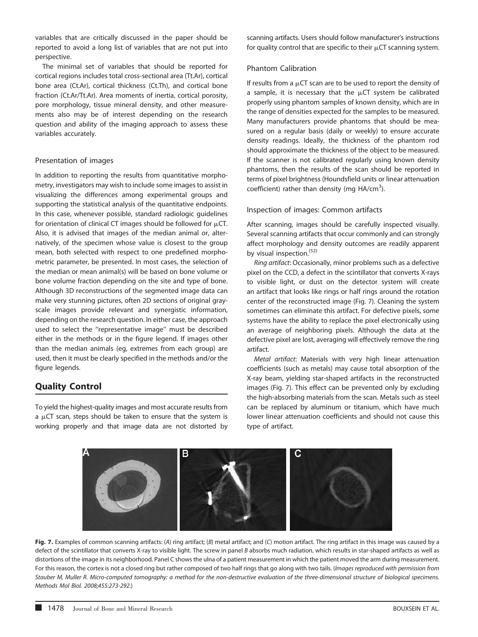variables that are critically discussed in the paper should be reported to avoid a long list of variables that are not put into perspective.

The minimal set of variables that should be reported for cortical regions includes total cross-sectional area (Tt.Ar), cortical bone area (Ct.Ar), cortical thickness (Ct.Th), and cortical bone fraction (Ct.Ar/Tt.Ar). Area moments of inertia, cortical porosity, pore morphology, tissue mineral density, and other measurements also may be of interest depending on the research question and ability of the imaging approach to assess these variables accurately.

#### Presentation of images

In addition to reporting the results from quantitative morphometry, investigators may wish to include some images to assist in visualizing the differences among experimental groups and supporting the statistical analysis of the quantitative endpoints. In this case, whenever possible, standard radiologic guidelines for orientation of clinical CT images should be followed for  $\mu$ CT. Also, it is advised that images of the median animal or, alternatively, of the specimen whose value is closest to the group mean, both selected with respect to one predefined morphometric parameter, be presented. In most cases, the selection of the median or mean animal(s) will be based on bone volume or bone volume fraction depending on the site and type of bone. Although 3D reconstructions of the segmented image data can make very stunning pictures, often 2D sections of original grayscale images provide relevant and synergistic information, depending on the research question. In either case, the approach used to select the ''representative image'' must be described either in the methods or in the figure legend. If images other than the median animals (eg, extremes from each group) are used, then it must be clearly specified in the methods and/or the figure legends.

# Quality Control

To yield the highest-quality images and most accurate results from a  $\mu$ CT scan, steps should be taken to ensure that the system is working properly and that image data are not distorted by scanning artifacts. Users should follow manufacturer's instructions for quality control that are specific to their  $\mu$ CT scanning system.

## Phantom Calibration

If results from a  $\mu$ CT scan are to be used to report the density of a sample, it is necessary that the  $\mu$ CT system be calibrated properly using phantom samples of known density, which are in the range of densities expected for the samples to be measured. Many manufacturers provide phantoms that should be measured on a regular basis (daily or weekly) to ensure accurate density readings. Ideally, the thickness of the phantom rod should approximate the thickness of the object to be measured. If the scanner is not calibrated regularly using known density phantoms, then the results of the scan should be reported in terms of pixel brightness (Houndsfield units or linear attenuation coefficient) rather than density (mg  $HA/cm^3$ ).

### Inspection of images: Common artifacts

After scanning, images should be carefully inspected visually. Several scanning artifacts that occur commonly and can strongly affect morphology and density outcomes are readily apparent by visual inspection.<sup>(52)</sup>

Ring artifact: Occasionally, minor problems such as a defective pixel on the CCD, a defect in the scintillator that converts X-rays to visible light, or dust on the detector system will create an artifact that looks like rings or half rings around the rotation center of the reconstructed image (Fig. 7). Cleaning the system sometimes can eliminate this artifact. For defective pixels, some systems have the ability to replace the pixel electronically using an average of neighboring pixels. Although the data at the defective pixel are lost, averaging will effectively remove the ring artifact.

Metal artifact: Materials with very high linear attenuation coefficients (such as metals) may cause total absorption of the X-ray beam, yielding star-shaped artifacts in the reconstructed images (Fig. 7). This effect can be prevented only by excluding the high-absorbing materials from the scan. Metals such as steel can be replaced by aluminum or titanium, which have much lower linear attenuation coefficients and should not cause this type of artifact.



Fig. 7. Examples of common scanning artifacts: (A) ring artifact; (B) metal artifact; and (C) motion artifact. The ring artifact in this image was caused by a defect of the scintillator that converts X-ray to visible light. The screw in panel B absorbs much radiation, which results in star-shaped artifacts as well as distortions of the image in its neighborhood. Panel C shows the ulna of a patient measurement in which the patient moved the arm during measurement. For this reason, the cortex is not a closed ring but rather composed of two half rings that go along with two tails. (Images reproduced with permission from Stauber M, Muller R. Micro-computed tomography: a method for the non-destructive evaluation of the three-dimensional structure of biological specimens. Methods Mol Biol. 2008;455:273-292.)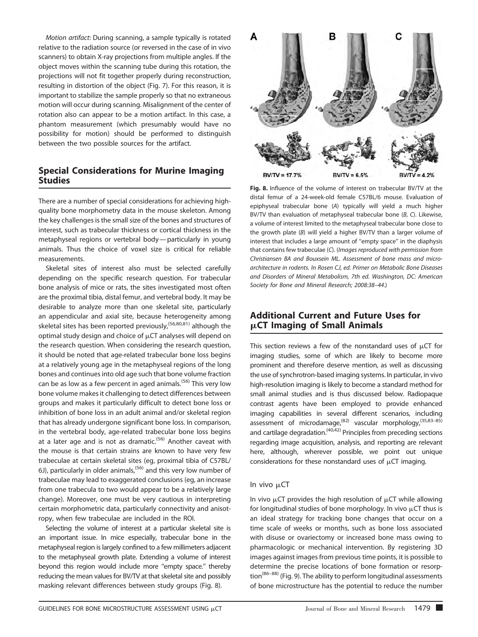Motion artifact: During scanning, a sample typically is rotated relative to the radiation source (or reversed in the case of in vivo scanners) to obtain X-ray projections from multiple angles. If the object moves within the scanning tube during this rotation, the projections will not fit together properly during reconstruction, resulting in distortion of the object (Fig. 7). For this reason, it is important to stabilize the sample properly so that no extraneous motion will occur during scanning. Misalignment of the center of rotation also can appear to be a motion artifact. In this case, a phantom measurement (which presumably would have no possibility for motion) should be performed to distinguish between the two possible sources for the artifact.

# Special Considerations for Murine Imaging **Studies**

There are a number of special considerations for achieving highquality bone morphometry data in the mouse skeleton. Among the key challenges is the small size of the bones and structures of interest, such as trabecular thickness or cortical thickness in the metaphyseal regions or vertebral body—particularly in young animals. Thus the choice of voxel size is critical for reliable measurements.

Skeletal sites of interest also must be selected carefully depending on the specific research question. For trabecular bone analysis of mice or rats, the sites investigated most often are the proximal tibia, distal femur, and vertebral body. It may be desirable to analyze more than one skeletal site, particularly an appendicular and axial site, because heterogeneity among skeletal sites has been reported previously,<sup> $(56,80,81)$ </sup> although the optimal study design and choice of  $\mu$ CT analyses will depend on the research question. When considering the research question, it should be noted that age-related trabecular bone loss begins at a relatively young age in the metaphyseal regions of the long bones and continues into old age such that bone volume fraction can be as low as a few percent in aged animals.<sup>(56)</sup> This very low bone volume makes it challenging to detect differences between groups and makes it particularly difficult to detect bone loss or inhibition of bone loss in an adult animal and/or skeletal region that has already undergone significant bone loss. In comparison, in the vertebral body, age-related trabecular bone loss begins at a later age and is not as dramatic.<sup>(56)</sup> Another caveat with the mouse is that certain strains are known to have very few trabeculae at certain skeletal sites (eg, proximal tibia of C57BL/ 6J), particularly in older animals,<sup>(56)</sup> and this very low number of trabeculae may lead to exaggerated conclusions (eg, an increase from one trabecula to two would appear to be a relatively large change). Moreover, one must be very cautious in interpreting certain morphometric data, particularly connectivity and anisotropy, when few trabeculae are included in the ROI.

Selecting the volume of interest at a particular skeletal site is an important issue. In mice especially, trabecular bone in the metaphyseal region is largely confined to a few millimeters adjacent to the metaphyseal growth plate. Extending a volume of interest beyond this region would include more ''empty space.'' thereby reducing the mean values for BV/TV at that skeletal site and possibly masking relevant differences between study groups (Fig. 8).



Fig. 8. Influence of the volume of interest on trabecular BV/TV at the distal femur of a 24-week-old female C57BL/6 mouse. Evaluation of epiphyseal trabecular bone (A) typically will yield a much higher BV/TV than evaluation of metaphyseal trabecular bone (B, C). Likewise, a volume of interest limited to the metaphyseal trabecular bone close to the growth plate (B) will yield a higher BV/TV than a larger volume of interest that includes a large amount of ''empty space'' in the diaphysis that contains few trabeculae (C). (Images reproduced with permission from Christiansen BA and Bouxsein ML. Assessment of bone mass and microarchitecture in rodents. In Rosen CJ, ed. Primer on Metabolic Bone Diseases and Disorders of Mineral Metabolism, 7th ed. Washington, DC: American Society for Bone and Mineral Research; 2008:38–44.)

# Additional Current and Future Uses for  $\mu$ CT Imaging of Small Animals

This section reviews a few of the nonstandard uses of  $\mu$ CT for imaging studies, some of which are likely to become more prominent and therefore deserve mention, as well as discussing the use of synchrotron-based imaging systems. In particular, in vivo high-resolution imaging is likely to become a standard method for small animal studies and is thus discussed below. Radiopaque contrast agents have been employed to provide enhanced imaging capabilities in several different scenarios, including assessment of microdamage, $^{(82)}$  vascular morphology, $^{(35,83-85)}$ and cartilage degradation.<sup>(40,42)</sup> Principles from preceding sections regarding image acquisition, analysis, and reporting are relevant here, although, wherever possible, we point out unique considerations for these nonstandard uses of  $\mu$ CT imaging.

#### In vivo  $\mu$ CT

In vivo  $\mu$ CT provides the high resolution of  $\mu$ CT while allowing for longitudinal studies of bone morphology. In vivo  $\mu$ CT thus is an ideal strategy for tracking bone changes that occur on a time scale of weeks or months, such as bone loss associated with disuse or ovariectomy or increased bone mass owing to pharmacologic or mechanical intervention. By registering 3D images against images from previous time points, it is possible to determine the precise locations of bone formation or resorption<sup>(86–88)</sup> (Fig. 9). The ability to perform longitudinal assessments of bone microstructure has the potential to reduce the number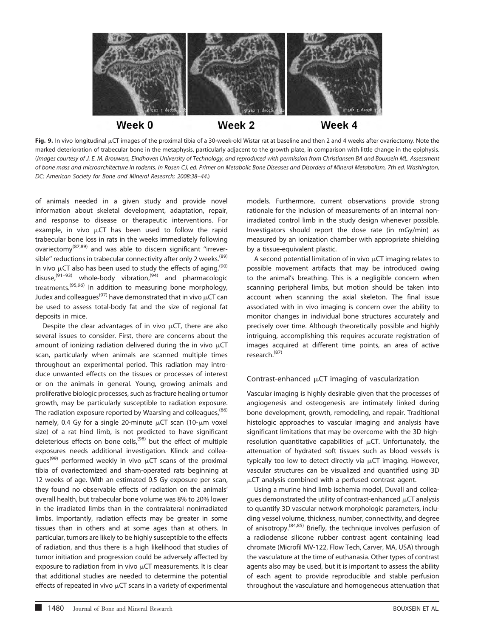

Fig. 9. In vivo longitudinal µCT images of the proximal tibia of a 30-week-old Wistar rat at baseline and then 2 and 4 weeks after ovariectomy. Note the marked deterioration of trabecular bone in the metaphysis, particularly adjacent to the growth plate, in comparison with little change in the epiphysis. (Images courtesy of J. E. M. Brouwers, Eindhoven University of Technology, and reproduced with permission from Christiansen BA and Bouxsein ML. Assessment of bone mass and microarchitecture in rodents. In Rosen CJ, ed. Primer on Metabolic Bone Diseases and Disorders of Mineral Metabolism, 7th ed. Washington, DC: American Society for Bone and Mineral Research; 2008:38–44.)

of animals needed in a given study and provide novel information about skeletal development, adaptation, repair, and response to disease or therapeutic interventions. For example, in vivo  $\mu$ CT has been used to follow the rapid trabecular bone loss in rats in the weeks immediately following ovariectomy<sup>(87,89)</sup> and was able to discern significant "irreversible" reductions in trabecular connectivity after only 2 weeks.<sup>(89)</sup> In vivo  $\mu$ CT also has been used to study the effects of aging,<sup>(90)</sup> disuse,<sup>(91–93)</sup> whole-body vibration,<sup>(94)</sup> and pharmacologic treatments.<sup>(95,96)</sup> In addition to measuring bone morphology, Judex and colleagues<sup>(97)</sup> have demonstrated that in vivo  $\mu$ CT can be used to assess total-body fat and the size of regional fat deposits in mice.

Despite the clear advantages of in vivo  $\mu$ CT, there are also several issues to consider. First, there are concerns about the amount of ionizing radiation delivered during the in vivo  $\mu$ CT scan, particularly when animals are scanned multiple times throughout an experimental period. This radiation may introduce unwanted effects on the tissues or processes of interest or on the animals in general. Young, growing animals and proliferative biologic processes, such as fracture healing or tumor growth, may be particularly susceptible to radiation exposure. The radiation exposure reported by Waarsing and colleagues,<sup>(86)</sup> namely, 0.4 Gy for a single 20-minute  $\mu$ CT scan (10- $\mu$ m voxel size) of a rat hind limb, is not predicted to have significant deleterious effects on bone cells,<sup>(98)</sup> but the effect of multiple exposures needs additional investigation. Klinck and colleaques<sup>(99)</sup> performed weekly in vivo  $\mu$ CT scans of the proximal tibia of ovariectomized and sham-operated rats beginning at 12 weeks of age. With an estimated 0.5 Gy exposure per scan, they found no observable effects of radiation on the animals' overall health, but trabecular bone volume was 8% to 20% lower in the irradiated limbs than in the contralateral nonirradiated limbs. Importantly, radiation effects may be greater in some tissues than in others and at some ages than at others. In particular, tumors are likely to be highly susceptible to the effects of radiation, and thus there is a high likelihood that studies of tumor initiation and progression could be adversely affected by exposure to radiation from in vivo  $\mu$ CT measurements. It is clear that additional studies are needed to determine the potential effects of repeated in vivo  $\mu$ CT scans in a variety of experimental

models. Furthermore, current observations provide strong rationale for the inclusion of measurements of an internal nonirradiated control limb in the study design whenever possible. Investigators should report the dose rate (in mGy/min) as measured by an ionization chamber with appropriate shielding by a tissue-equivalent plastic.

A second potential limitation of in vivo  $\mu$ CT imaging relates to possible movement artifacts that may be introduced owing to the animal's breathing. This is a negligible concern when scanning peripheral limbs, but motion should be taken into account when scanning the axial skeleton. The final issue associated with in vivo imaging is concern over the ability to monitor changes in individual bone structures accurately and precisely over time. Although theoretically possible and highly intriguing, accomplishing this requires accurate registration of images acquired at different time points, an area of active research.(87)

## Contrast-enhanced  $\mu$ CT imaging of vascularization

Vascular imaging is highly desirable given that the processes of angiogenesis and osteogenesis are intimately linked during bone development, growth, remodeling, and repair. Traditional histologic approaches to vascular imaging and analysis have significant limitations that may be overcome with the 3D highresolution quantitative capabilities of  $\mu$ CT. Unfortunately, the attenuation of hydrated soft tissues such as blood vessels is typically too low to detect directly via  $\mu$ CT imaging. However, vascular structures can be visualized and quantified using 3D  $\mu$ CT analysis combined with a perfused contrast agent.

Using a murine hind limb ischemia model, Duvall and colleagues demonstrated the utility of contrast-enhanced  $\mu$ CT analysis to quantify 3D vascular network morphologic parameters, including vessel volume, thickness, number, connectivity, and degree of anisotropy.  $(84,85)$  Briefly, the technique involves perfusion of a radiodense silicone rubber contrast agent containing lead chromate (Microfil MV-122, Flow Tech, Carver, MA, USA) through the vasculature at the time of euthanasia. Other types of contrast agents also may be used, but it is important to assess the ability of each agent to provide reproducible and stable perfusion throughout the vasculature and homogeneous attenuation that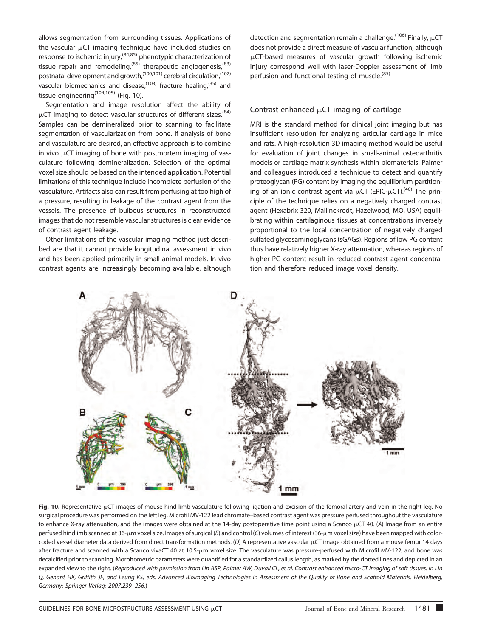allows segmentation from surrounding tissues. Applications of the vascular  $\mu$ CT imaging technique have included studies on response to ischemic injury,  $(84,85)$  phenotypic characterization of tissue repair and remodeling,  $(85)$  therapeutic angiogenesis,  $(83)$ postnatal development and growth,(100,101) cerebral circulation,(102) vascular biomechanics and disease,<sup> $(103)$ </sup> fracture healing, $(35)$  and tissue engineering<sup> $(104,105)$ </sup> (Fig. 10).

Segmentation and image resolution affect the ability of  $\mu$ CT imaging to detect vascular structures of different sizes.<sup>(84)</sup> Samples can be demineralized prior to scanning to facilitate segmentation of vascularization from bone. If analysis of bone and vasculature are desired, an effective approach is to combine in vivo  $\mu$ CT imaging of bone with postmortem imaging of vasculature following demineralization. Selection of the optimal voxel size should be based on the intended application. Potential limitations of this technique include incomplete perfusion of the vasculature. Artifacts also can result from perfusing at too high of a pressure, resulting in leakage of the contrast agent from the vessels. The presence of bulbous structures in reconstructed images that do not resemble vascular structures is clear evidence of contrast agent leakage.

Other limitations of the vascular imaging method just described are that it cannot provide longitudinal assessment in vivo and has been applied primarily in small-animal models. In vivo contrast agents are increasingly becoming available, although detection and segmentation remain a challenge.<sup>(106)</sup> Finally,  $\mu$ CT does not provide a direct measure of vascular function, although  $\mu$ CT-based measures of vascular growth following ischemic injury correspond well with laser-Doppler assessment of limb perfusion and functional testing of muscle.<sup>(85)</sup>

#### Contrast-enhanced  $\mu$ CT imaging of cartilage

MRI is the standard method for clinical joint imaging but has insufficient resolution for analyzing articular cartilage in mice and rats. A high-resolution 3D imaging method would be useful for evaluation of joint changes in small-animal osteoarthritis models or cartilage matrix synthesis within biomaterials. Palmer and colleagues introduced a technique to detect and quantify proteoglycan (PG) content by imaging the equilibrium partitioning of an ionic contrast agent via  $\mu$ CT (EPIC- $\mu$ CT).<sup>(40)</sup> The principle of the technique relies on a negatively charged contrast agent (Hexabrix 320, Mallinckrodt, Hazelwood, MO, USA) equilibrating within cartilaginous tissues at concentrations inversely proportional to the local concentration of negatively charged sulfated glycosaminoglycans (sGAGs). Regions of low PG content thus have relatively higher X-ray attenuation, whereas regions of higher PG content result in reduced contrast agent concentration and therefore reduced image voxel density.



Fig. 10. Representative  $\mu$ CT images of mouse hind limb vasculature following ligation and excision of the femoral artery and vein in the right leg. No surgical procedure was performed on the left leg. Microfil MV-122 lead chromate–based contrast agent was pressure perfused throughout the vasculature to enhance X-ray attenuation, and the images were obtained at the 14-day postoperative time point using a Scanco  $\mu$ CT 40. (A) Image from an entire perfused hindlimb scanned at 36- $\mu$ m voxel size. Images of surgical (B) and control (C) volumes of interest (36- $\mu$ m voxel size) have been mapped with colorcoded vessel diameter data derived from direct transformation methods. (D) A representative vascular µCT image obtained from a mouse femur 14 days after fracture and scanned with a Scanco vivaCT 40 at 10.5-µm voxel size. The vasculature was pressure-perfused with Microfil MV-122, and bone was decalcified prior to scanning. Morphometric parameters were quantified for a standardized callus length, as marked by the dotted lines and depicted in an expanded view to the right. (Reproduced with permission from Lin ASP, Palmer AW, Duvall CL, et al. Contrast enhanced micro-CT imaging of soft tissues. In Lin Q, Genant HK, Griffith JF, and Leung KS, eds. Advanced Bioimaging Technologies in Assessment of the Quality of Bone and Scaffold Materials. Heidelberg, Germany: Springer-Verlag; 2007:239–256.)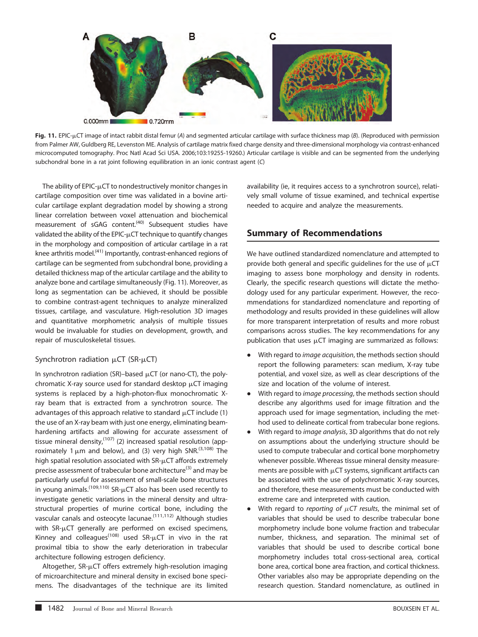

Fig. 11. EPIC- $\mu$ CT image of intact rabbit distal femur (A) and segmented articular cartilage with surface thickness map (B). (Reproduced with permission from Palmer AW, Guldberg RE, Levenston ME. Analysis of cartilage matrix fixed charge density and three-dimensional morphology via contrast-enhanced microcomputed tomography. Proc Natl Acad Sci USA. 2006;103:19255-19260.) Articular cartilage is visible and can be segmented from the underlying subchondral bone in a rat joint following equilibration in an ionic contrast agent (C)

The ability of EPIC- $\mu$ CT to nondestructively monitor changes in cartilage composition over time was validated in a bovine articular cartilage explant degradation model by showing a strong linear correlation between voxel attenuation and biochemical measurement of sGAG content.<sup>(40)</sup> Subsequent studies have validated the ability of the EPIC- $\mu$ CT technique to quantify changes in the morphology and composition of articular cartilage in a rat knee arthritis model.<sup>(41)</sup> Importantly, contrast-enhanced regions of cartilage can be segmented from subchondral bone, providing a detailed thickness map of the articular cartilage and the ability to analyze bone and cartilage simultaneously (Fig. 11). Moreover, as long as segmentation can be achieved, it should be possible to combine contrast-agent techniques to analyze mineralized tissues, cartilage, and vasculature. High-resolution 3D images and quantitative morphometric analysis of multiple tissues would be invaluable for studies on development, growth, and repair of musculoskeletal tissues.

## Synchrotron radiation  $\mu$ CT (SR- $\mu$ CT)

In synchrotron radiation (SR)–based  $\mu$ CT (or nano-CT), the polychromatic X-ray source used for standard desktop  $\mu$ CT imaging systems is replaced by a high-photon-flux monochromatic Xray beam that is extracted from a synchrotron source. The advantages of this approach relative to standard  $\mu$ CT include (1) the use of an X-ray beam with just one energy, eliminating beamhardening artifacts and allowing for accurate assessment of tissue mineral density,<sup> $(107)$ </sup> (2) increased spatial resolution (approximately 1  $\mu$ m and below), and (3) very high SNR.<sup>(3,108)</sup> The high spatial resolution associated with  $SR-\mu$ CT affords extremely precise assessment of trabecular bone architecture<sup>(3)</sup> and may be particularly useful for assessment of small-scale bone structures in young animals.<sup>(109,110)</sup> SR- $\mu$ CT also has been used recently to investigate genetic variations in the mineral density and ultrastructural properties of murine cortical bone, including the vascular canals and osteocyte lacunae.<sup>(111,112)</sup> Although studies with  $SR-\mu$ CT generally are performed on excised specimens, Kinney and colleagues<sup>(108)</sup> used SR- $\mu$ CT in vivo in the rat proximal tibia to show the early deterioration in trabecular architecture following estrogen deficiency.

Altogether,  $SR-\mu$ CT offers extremely high-resolution imaging of microarchitecture and mineral density in excised bone specimens. The disadvantages of the technique are its limited availability (ie, it requires access to a synchrotron source), relatively small volume of tissue examined, and technical expertise needed to acquire and analyze the measurements.

# Summary of Recommendations

We have outlined standardized nomenclature and attempted to provide both general and specific guidelines for the use of  $\mu$ CT imaging to assess bone morphology and density in rodents. Clearly, the specific research questions will dictate the methodology used for any particular experiment. However, the recommendations for standardized nomenclature and reporting of methodology and results provided in these guidelines will allow for more transparent interpretation of results and more robust comparisons across studies. The key recommendations for any publication that uses  $\mu$ CT imaging are summarized as follows:

- With regard to image acquisition, the methods section should report the following parameters: scan medium, X-ray tube potential, and voxel size, as well as clear descriptions of the size and location of the volume of interest.
- With regard to image processing, the methods section should describe any algorithms used for image filtration and the approach used for image segmentation, including the method used to delineate cortical from trabecular bone regions.
- With regard to image analysis, 3D algorithms that do not rely on assumptions about the underlying structure should be used to compute trabecular and cortical bone morphometry whenever possible. Whereas tissue mineral density measurements are possible with  $\mu$ CT systems, significant artifacts can be associated with the use of polychromatic X-ray sources, and therefore, these measurements must be conducted with extreme care and interpreted with caution.
- With regard to reporting of  $\mu$ CT results, the minimal set of variables that should be used to describe trabecular bone morphometry include bone volume fraction and trabecular number, thickness, and separation. The minimal set of variables that should be used to describe cortical bone morphometry includes total cross-sectional area, cortical bone area, cortical bone area fraction, and cortical thickness. Other variables also may be appropriate depending on the research question. Standard nomenclature, as outlined in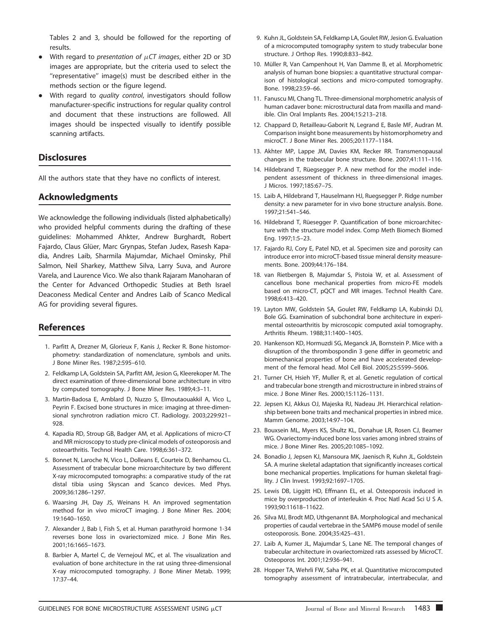Tables 2 and 3, should be followed for the reporting of results.

- With regard to presentation of  $\mu$ CT images, either 2D or 3D images are appropriate, but the criteria used to select the ''representative'' image(s) must be described either in the methods section or the figure legend.
- With regard to quality control, investigators should follow manufacturer-specific instructions for regular quality control and document that these instructions are followed. All images should be inspected visually to identify possible scanning artifacts.

## **Disclosures**

All the authors state that they have no conflicts of interest.

# Acknowledgments

We acknowledge the following individuals (listed alphabetically) who provided helpful comments during the drafting of these guidelines: Mohammed Ahkter, Andrew Burghardt, Robert Fajardo, Claus Glüer, Marc Grynpas, Stefan Judex, Rasesh Kapadia, Andres Laib, Sharmila Majumdar, Michael Ominsky, Phil Salmon, Neil Sharkey, Matthew Silva, Larry Suva, and Aurore Varela, and Laurence Vico. We also thank Rajaram Manoharan of the Center for Advanced Orthopedic Studies at Beth Israel Deaconess Medical Center and Andres Laib of Scanco Medical AG for providing several figures.

# **References**

- 1. Parfitt A, Drezner M, Glorieux F, Kanis J, Recker R. Bone histomorphometry: standardization of nomenclature, symbols and units. J Bone Miner Res. 1987;2:595–610.
- 2. Feldkamp LA, Goldstein SA, Parfitt AM, Jesion G, Kleerekoper M. The direct examination of three-dimensional bone architecture in vitro by computed tomography. J Bone Miner Res. 1989;4:3–11.
- 3. Martin-Badosa E, Amblard D, Nuzzo S, Elmoutaouakkil A, Vico L, Peyrin F. Excised bone structures in mice: imaging at three-dimensional synchrotron radiation micro CT. Radiology. 2003;229:921– 928.
- 4. Kapadia RD, Stroup GB, Badger AM, et al. Applications of micro-CT and MR microscopy to study pre-clinical models of osteoporosis and osteoarthritis. Technol Health Care. 1998;6:361–372.
- 5. Bonnet N, Laroche N, Vico L, Dolleans E, Courteix D, Benhamou CL. Assessment of trabecular bone microarchitecture by two different X-ray microcomputed tomographs: a comparative study of the rat distal tibia using Skyscan and Scanco devices. Med Phys. 2009;36:1286–1297.
- 6. Waarsing JH, Day JS, Weinans H. An improved segmentation method for in vivo microCT imaging. J Bone Miner Res. 2004; 19:1640–1650.
- 7. Alexander J, Bab I, Fish S, et al. Human parathyroid hormone 1-34 reverses bone loss in ovariectomized mice. J Bone Min Res. 2001;16:1665–1673.
- 8. Barbier A, Martel C, de Vernejoul MC, et al. The visualization and evaluation of bone architecture in the rat using three-dimensional X-ray microcomputed tomography. J Bone Miner Metab. 1999; 17:37–44.
- 9. Kuhn JL, Goldstein SA, Feldkamp LA, Goulet RW, Jesion G. Evaluation of a microcomputed tomography system to study trabecular bone structure. J Orthop Res. 1990;8:833–842.
- 10. Müller R, Van Campenhout H, Van Damme B, et al. Morphometric analysis of human bone biopsies: a quantitative structural comparison of histological sections and micro-computed tomography. Bone. 1998;23:59–66.
- 11. Fanuscu MI, Chang TL. Three-dimensional morphometric analysis of human cadaver bone: microstructural data from maxilla and mandible. Clin Oral Implants Res. 2004;15:213–218.
- 12. Chappard D, Retailleau-Gaborit N, Legrand E, Basle MF, Audran M. Comparison insight bone measurements by histomorphometry and microCT. J Bone Miner Res. 2005;20:1177–1184.
- 13. Akhter MP, Lappe JM, Davies KM, Recker RR. Transmenopausal changes in the trabecular bone structure. Bone. 2007;41:111–116.
- 14. Hildebrand T, Rüegsegger P. A new method for the model independent assessment of thickness in three-dimensional images. J Micros. 1997;185:67–75.
- 15. Laib A, Hildebrand T, Hauselmann HJ, Ruegsegger P. Ridge number density: a new parameter for in vivo bone structure analysis. Bone. 1997;21:541–546.
- 16. Hildebrand T, Rüesegger P. Quantification of bone microarchitecture with the structure model index. Comp Meth Biomech Biomed Eng. 1997;1:5–23.
- 17. Fajardo RJ, Cory E, Patel ND, et al. Specimen size and porosity can introduce error into microCT-based tissue mineral density measurements. Bone. 2009;44:176–184.
- 18. van Rietbergen B, Majumdar S, Pistoia W, et al. Assessment of cancellous bone mechanical properties from micro-FE models based on micro-CT, pQCT and MR images. Technol Health Care. 1998;6:413–420.
- 19. Layton MW, Goldstein SA, Goulet RW, Feldkamp LA, Kubinski DJ, Bole GG. Examination of subchondral bone architecture in experimental osteoarthritis by microscopic computed axial tomography. Arthritis Rheum. 1988;31:1400–1405.
- 20. Hankenson KD, Hormuzdi SG, Meganck JA, Bornstein P. Mice with a disruption of the thrombospondin 3 gene differ in geometric and biomechanical properties of bone and have accelerated development of the femoral head. Mol Cell Biol. 2005;25:5599–5606.
- 21. Turner CH, Hsieh YF, Muller R, et al. Genetic regulation of cortical and trabecular bone strength and microstructure in inbred strains of mice. J Bone Miner Res. 2000;15:1126–1131.
- 22. Jepsen KJ, Akkus OJ, Majeska RJ, Nadeau JH. Hierarchical relationship between bone traits and mechanical properties in inbred mice. Mamm Genome. 2003;14:97–104.
- 23. Bouxsein ML, Myers KS, Shultz KL, Donahue LR, Rosen CJ, Beamer WG. Ovariectomy-induced bone loss varies among inbred strains of mice. J Bone Miner Res. 2005;20:1085–1092.
- 24. Bonadio J, Jepsen KJ, Mansoura MK, Jaenisch R, Kuhn JL, Goldstein SA. A murine skeletal adaptation that significantly increases cortical bone mechanical properties. Implications for human skeletal fragility. J Clin Invest. 1993;92:1697–1705.
- 25. Lewis DB, Liggitt HD, Effmann EL, et al. Osteoporosis induced in mice by overproduction of interleukin 4. Proc Natl Acad Sci U S A. 1993;90:11618–11622.
- 26. Silva MJ, Brodt MD, Uthgenannt BA. Morphological and mechanical properties of caudal vertebrae in the SAMP6 mouse model of senile osteoporosis. Bone. 2004;35:425–431.
- 27. Laib A, Kumer JL, Majumdar S, Lane NE. The temporal changes of trabecular architecture in ovariectomized rats assessed by MicroCT. Osteoporos Int. 2001;12:936–941.
- 28. Hopper TA, Wehrli FW, Saha PK, et al. Quantitative microcomputed tomography assessment of intratrabecular, intertrabecular, and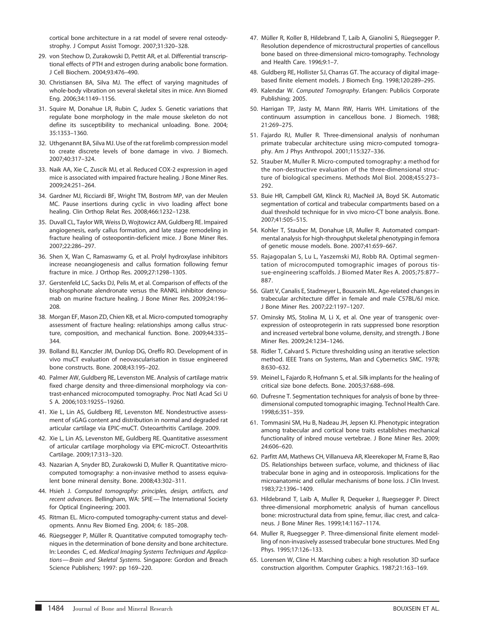cortical bone architecture in a rat model of severe renal osteodystrophy. J Comput Assist Tomogr. 2007;31:320–328.

- 29. von Stechow D, Zurakowski D, Pettit AR, et al. Differential transcriptional effects of PTH and estrogen during anabolic bone formation. J Cell Biochem. 2004;93:476–490.
- 30. Christiansen BA, Silva MJ. The effect of varying magnitudes of whole-body vibration on several skeletal sites in mice. Ann Biomed Eng. 2006;34:1149–1156.
- 31. Squire M, Donahue LR, Rubin C, Judex S. Genetic variations that regulate bone morphology in the male mouse skeleton do not define its susceptibility to mechanical unloading. Bone. 2004; 35:1353–1360.
- 32. Uthgenannt BA, Silva MJ. Use of the rat forelimb compression model to create discrete levels of bone damage in vivo. J Biomech. 2007;40:317–324.
- 33. Naik AA, Xie C, Zuscik MJ, et al. Reduced COX-2 expression in aged mice is associated with impaired fracture healing. J Bone Miner Res. 2009;24:251–264.
- 34. Gardner MJ, Ricciardi BF, Wright TM, Bostrom MP, van der Meulen MC. Pause insertions during cyclic in vivo loading affect bone healing. Clin Orthop Relat Res. 2008;466:1232–1238.
- 35. Duvall CL, Taylor WR, Weiss D, Wojtowicz AM, Guldberg RE. Impaired angiogenesis, early callus formation, and late stage remodeling in fracture healing of osteopontin-deficient mice. J Bone Miner Res. 2007;22:286–297.
- 36. Shen X, Wan C, Ramaswamy G, et al. Prolyl hydroxylase inhibitors increase neoangiogenesis and callus formation following femur fracture in mice. J Orthop Res. 2009;27:1298–1305.
- 37. Gerstenfeld LC, Sacks DJ, Pelis M, et al. Comparison of effects of the bisphosphonate alendronate versus the RANKL inhibitor denosumab on murine fracture healing. J Bone Miner Res. 2009;24:196– 208.
- 38. Morgan EF, Mason ZD, Chien KB, et al. Micro-computed tomography assessment of fracture healing: relationships among callus structure, composition, and mechanical function. Bone. 2009;44:335– 344.
- 39. Bolland BJ, Kanczler JM, Dunlop DG, Oreffo RO. Development of in vivo muCT evaluation of neovascularisation in tissue engineered bone constructs. Bone. 2008;43:195–202.
- 40. Palmer AW, Guldberg RE, Levenston ME. Analysis of cartilage matrix fixed charge density and three-dimensional morphology via contrast-enhanced microcomputed tomography. Proc Natl Acad Sci U S A. 2006;103:19255–19260.
- 41. Xie L, Lin AS, Guldberg RE, Levenston ME. Nondestructive assessment of sGAG content and distribution in normal and degraded rat articular cartilage via EPIC-muCT. Osteoarthritis Cartilage. 2009.
- 42. Xie L, Lin AS, Levenston ME, Guldberg RE. Quantitative assessment of articular cartilage morphology via EPIC-microCT. Osteoarthritis Cartilage. 2009;17:313–320.
- 43. Nazarian A, Snyder BD, Zurakowski D, Muller R. Quantitative microcomputed tomography: a non-invasive method to assess equivalent bone mineral density. Bone. 2008;43:302–311.
- 44. Hsieh J. Computed tomography: principles, design, artifacts, and recent advances. Bellingham, WA: SPIE—The International Society for Optical Engineering; 2003.
- 45. Ritman EL. Micro-computed tomography-current status and developments. Annu Rev Biomed Eng. 2004; 6: 185–208.
- 46. Rüegsegger P, Müller R. Quantitative computed tomography techniques in the determination of bone density and bone architecture. In: Leondes C, ed. Medical Imaging Systems Techniques and Applications—Brain and Skeletal Systems. Singapore: Gordon and Breach Science Publishers; 1997: pp 169–220.
- 47. Müller R, Koller B, Hildebrand T, Laib A, Gianolini S, Rüegsegger P. Resolution dependence of microstructural properties of cancellous bone based on three-dimensional micro-tomography. Technology and Health Care. 1996;9:1–7.
- 48. Guldberg RE, Hollister SJ, Charras GT. The accuracy of digital imagebased finite element models. J Biomech Eng. 1998;120:289–295.
- 49. Kalendar W. Computed Tomography. Erlangen: Publicis Corporate Publishing; 2005.
- 50. Harrigan TP, Jasty M, Mann RW, Harris WH. Limitations of the continuum assumption in cancellous bone. J Biomech. 1988; 21:269–275.
- 51. Fajardo RJ, Muller R. Three-dimensional analysis of nonhuman primate trabecular architecture using micro-computed tomography. Am J Phys Anthropol. 2001;115:327–336.
- 52. Stauber M, Muller R. Micro-computed tomography: a method for the non-destructive evaluation of the three-dimensional structure of biological specimens. Methods Mol Biol. 2008;455:273– 292.
- 53. Buie HR, Campbell GM, Klinck RJ, MacNeil JA, Boyd SK. Automatic segmentation of cortical and trabecular compartments based on a dual threshold technique for in vivo micro-CT bone analysis. Bone. 2007;41:505–515.
- 54. Kohler T, Stauber M, Donahue LR, Muller R. Automated compartmental analysis for high-throughput skeletal phenotyping in femora of genetic mouse models. Bone. 2007;41:659–667.
- 55. Rajagopalan S, Lu L, Yaszemski MJ, Robb RA. Optimal segmentation of microcomputed tomographic images of porous tissue-engineering scaffolds. J Biomed Mater Res A. 2005;75:877– 887.
- 56. Glatt V, Canalis E, Stadmeyer L, Bouxsein ML. Age-related changes in trabecular architecture differ in female and male C57BL/6J mice. J Bone Miner Res. 2007;22:1197–1207.
- 57. Ominsky MS, Stolina M, Li X, et al. One year of transgenic overexpression of osteoprotegerin in rats suppressed bone resorption and increased vertebral bone volume, density, and strength. J Bone Miner Res. 2009;24:1234–1246.
- 58. Ridler T, Calvard S. Picture thresholding using an iterative selection method. IEEE Trans on Systems, Man and Cybernetics SMC. 1978; 8:630–632.
- 59. Meinel L, Fajardo R, Hofmann S, et al. Silk implants for the healing of critical size bone defects. Bone. 2005;37:688–698.
- 60. Dufresne T. Segmentation techniques for analysis of bone by threedimensional computed tomographic imaging. Technol Health Care. 1998;6:351–359.
- 61. Tommasini SM, Hu B, Nadeau JH, Jepsen KJ. Phenotypic integration among trabecular and cortical bone traits establishes mechanical functionality of inbred mouse vertebrae. J Bone Miner Res. 2009; 24:606–620.
- 62. Parfitt AM, Mathews CH, Villanueva AR, Kleerekoper M, Frame B, Rao DS. Relationships between surface, volume, and thickness of iliac trabecular bone in aging and in osteoporosis. Implications for the microanatomic and cellular mechanisms of bone loss. J Clin Invest. 1983;72:1396–1409.
- 63. Hildebrand T, Laib A, Muller R, Dequeker J, Ruegsegger P. Direct three-dimensional morphometric analysis of human cancellous bone: microstructural data from spine, femur, iliac crest, and calcaneus. J Bone Miner Res. 1999;14:1167–1174.
- 64. Muller R, Ruegsegger P. Three-dimensional finite element modelling of non-invasively assessed trabecular bone structures. Med Eng Phys. 1995;17:126–133.
- 65. Lorensen W, Cline H. Marching cubes: a high resolution 3D surface construction algorithm. Computer Graphics. 1987;21:163–169.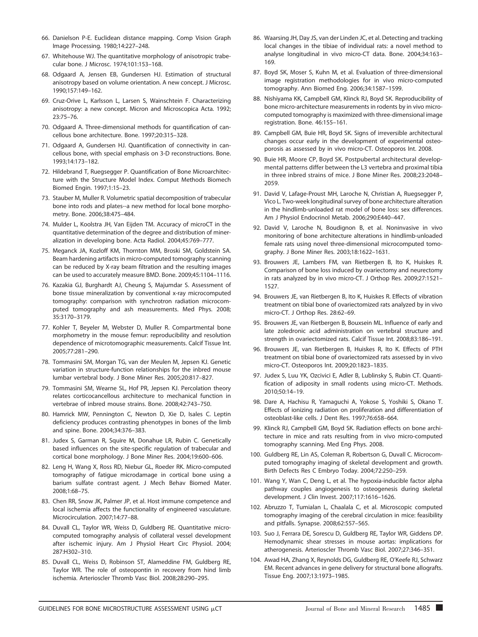- 66. Danielson P-E. Euclidean distance mapping. Comp Vision Graph Image Processing. 1980;14:227–248.
- 67. Whitehouse WJ. The quantitative morphology of anisotropic trabecular bone. J Microsc. 1974;101:153–168.
- 68. Odgaard A, Jensen EB, Gundersen HJ. Estimation of structural anisotropy based on volume orientation. A new concept. J Microsc. 1990;157:149–162.
- 69. Cruz-Orive L, Karlsson L, Larsen S, Wainschtein F. Characterizing anisotropy: a new concept. Micron and Microscopica Acta. 1992; 23:75–76.
- 70. Odgaard A. Three-dimensional methods for quantification of cancellous bone architecture. Bone. 1997;20:315–328.
- 71. Odgaard A, Gundersen HJ. Quantification of connectivity in cancellous bone, with special emphasis on 3-D reconstructions. Bone. 1993;14:173–182.
- 72. Hildebrand T, Ruegsegger P. Quantification of Bone Microarchitecture with the Structure Model Index. Comput Methods Biomech Biomed Engin. 1997;1:15–23.
- 73. Stauber M, Muller R. Volumetric spatial decomposition of trabecular bone into rods and plates--a new method for local bone morphometry. Bone. 2006;38:475–484.
- 74. Mulder L, Koolstra JH, Van Eijden TM. Accuracy of microCT in the quantitative determination of the degree and distribution of mineralization in developing bone. Acta Radiol. 2004;45:769–777.
- 75. Meganck JA, Kozloff KM, Thornton MM, Broski SM, Goldstein SA. Beam hardening artifacts in micro-computed tomography scanning can be reduced by X-ray beam filtration and the resulting images can be used to accurately measure BMD. Bone. 2009;45:1104–1116.
- 76. Kazakia GJ, Burghardt AJ, Cheung S, Majumdar S. Assessment of bone tissue mineralization by conventional x-ray microcomputed tomography: comparison with synchrotron radiation microcomputed tomography and ash measurements. Med Phys. 2008; 35:3170–3179.
- 77. Kohler T, Beyeler M, Webster D, Muller R. Compartmental bone morphometry in the mouse femur: reproducibility and resolution dependence of microtomographic measurements. Calcif Tissue Int. 2005;77:281–290.
- 78. Tommasini SM, Morgan TG, van der Meulen M, Jepsen KJ. Genetic variation in structure-function relationships for the inbred mouse lumbar vertebral body. J Bone Miner Res. 2005;20:817–827.
- 79. Tommasini SM, Wearne SL, Hof PR, Jepsen KJ. Percolation theory relates corticocancellous architecture to mechanical function in vertebrae of inbred mouse strains. Bone. 2008;42:743–750.
- 80. Hamrick MW, Pennington C, Newton D, Xie D, Isales C. Leptin deficiency produces contrasting phenotypes in bones of the limb and spine. Bone. 2004;34:376–383.
- 81. Judex S, Garman R, Squire M, Donahue LR, Rubin C. Genetically based influences on the site-specific regulation of trabecular and cortical bone morphology. J Bone Miner Res. 2004;19:600–606.
- 82. Leng H, Wang X, Ross RD, Niebur GL, Roeder RK. Micro-computed tomography of fatigue microdamage in cortical bone using a barium sulfate contrast agent. J Mech Behav Biomed Mater. 2008;1:68–75.
- 83. Chen RR, Snow JK, Palmer JP, et al. Host immune competence and local ischemia affects the functionality of engineered vasculature. Microcirculation. 2007;14:77–88.
- 84. Duvall CL, Taylor WR, Weiss D, Guldberg RE. Quantitative microcomputed tomography analysis of collateral vessel development after ischemic injury. Am J Physiol Heart Circ Physiol. 2004; 287:H302–310.
- 85. Duvall CL, Weiss D, Robinson ST, Alameddine FM, Guldberg RE, Taylor WR. The role of osteopontin in recovery from hind limb ischemia. Arterioscler Thromb Vasc Biol. 2008;28:290–295.
- 86. Waarsing JH, Day JS, van der Linden JC, et al. Detecting and tracking local changes in the tibiae of individual rats: a novel method to analyse longitudinal in vivo micro-CT data. Bone. 2004;34:163– 169.
- 87. Boyd SK, Moser S, Kuhn M, et al. Evaluation of three-dimensional image registration methodologies for in vivo micro-computed tomography. Ann Biomed Eng. 2006;34:1587–1599.
- 88. Nishiyama KK, Campbell GM, Klinck RJ, Boyd SK. Reproducibility of bone micro-architecture measurements in rodents by in vivo microcomputed tomography is maximized with three-dimensional image registration. Bone. 46:155–161.
- 89. Campbell GM, Buie HR, Boyd SK. Signs of irreversible architectural changes occur early in the development of experimental osteoporosis as assessed by in vivo micro-CT. Osteoporos Int. 2008.
- 90. Buie HR, Moore CP, Boyd SK. Postpubertal architectural developmental patterns differ between the L3 vertebra and proximal tibia in three inbred strains of mice. J Bone Miner Res. 2008;23:2048– 2059.
- 91. David V, Lafage-Proust MH, Laroche N, Christian A, Ruegsegger P, Vico L. Two-week longitudinal survey of bone architecture alteration in the hindlimb-unloaded rat model of bone loss: sex differences. Am J Physiol Endocrinol Metab. 2006;290:E440–447.
- 92. David V, Laroche N, Boudignon B, et al. Noninvasive in vivo monitoring of bone architecture alterations in hindlimb-unloaded female rats using novel three-dimensional microcomputed tomography. J Bone Miner Res. 2003;18:1622–1631.
- 93. Brouwers JE, Lambers FM, van Rietbergen B, Ito K, Huiskes R. Comparison of bone loss induced by ovariectomy and neurectomy in rats analyzed by in vivo micro-CT. J Orthop Res. 2009;27:1521– 1527.
- 94. Brouwers JE, van Rietbergen B, Ito K, Huiskes R. Effects of vibration treatment on tibial bone of ovariectomized rats analyzed by in vivo micro-CT. J Orthop Res. 28:62–69.
- 95. Brouwers JE, van Rietbergen B, Bouxsein ML. Influence of early and late zoledronic acid administration on vertebral structure and strength in ovariectomized rats. Calcif Tissue Int. 2008;83:186–191.
- 96. Brouwers JE, van Rietbergen B, Huiskes R, Ito K. Effects of PTH treatment on tibial bone of ovariectomized rats assessed by in vivo micro-CT. Osteoporos Int. 2009;20:1823–1835.
- 97. Judex S, Luu YK, Ozcivici E, Adler B, Lublinsky S, Rubin CT. Quantification of adiposity in small rodents using micro-CT. Methods. 2010;50:14–19.
- 98. Dare A, Hachisu R, Yamaguchi A, Yokose S, Yoshiki S, Okano T. Effects of ionizing radiation on proliferation and differentiation of osteoblast-like cells. J Dent Res. 1997;76:658–664.
- 99. Klinck RJ, Campbell GM, Boyd SK. Radiation effects on bone architecture in mice and rats resulting from in vivo micro-computed tomography scanning. Med Eng Phys. 2008.
- 100. Guldberg RE, Lin AS, Coleman R, Robertson G, Duvall C. Microcomputed tomography imaging of skeletal development and growth. Birth Defects Res C Embryo Today. 2004;72:250–259.
- 101. Wang Y, Wan C, Deng L, et al. The hypoxia-inducible factor alpha pathway couples angiogenesis to osteogenesis during skeletal development. J Clin Invest. 2007;117:1616–1626.
- 102. Abruzzo T, Tumialan L, Chaalala C, et al. Microscopic computed tomography imaging of the cerebral circulation in mice: feasibility and pitfalls. Synapse. 2008;62:557–565.
- 103. Suo J, Ferrara DE, Sorescu D, Guldberg RE, Taylor WR, Giddens DP. Hemodynamic shear stresses in mouse aortas: implications for atherogenesis. Arterioscler Thromb Vasc Biol. 2007;27:346–351.
- 104. Awad HA, Zhang X, Reynolds DG, Guldberg RE, O'Keefe RJ, Schwarz EM. Recent advances in gene delivery for structural bone allografts. Tissue Eng. 2007;13:1973–1985.